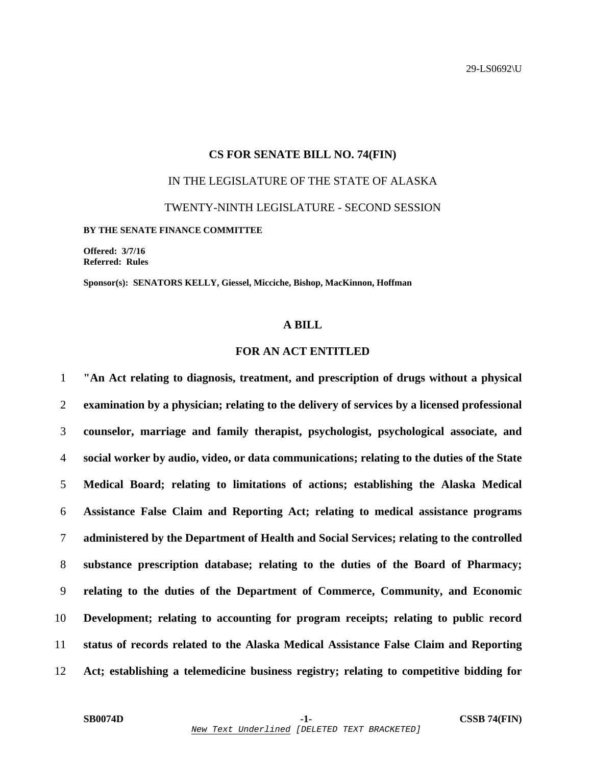# **CS FOR SENATE BILL NO. 74(FIN)**  IN THE LEGISLATURE OF THE STATE OF ALASKA TWENTY-NINTH LEGISLATURE - SECOND SESSION **BY THE SENATE FINANCE COMMITTEE**

**Offered: 3/7/16 Referred: Rules** 

**Sponsor(s): SENATORS KELLY, Giessel, Micciche, Bishop, MacKinnon, Hoffman** 

### **A BILL**

#### **FOR AN ACT ENTITLED**

**"An Act relating to diagnosis, treatment, and prescription of drugs without a physical examination by a physician; relating to the delivery of services by a licensed professional counselor, marriage and family therapist, psychologist, psychological associate, and social worker by audio, video, or data communications; relating to the duties of the State Medical Board; relating to limitations of actions; establishing the Alaska Medical Assistance False Claim and Reporting Act; relating to medical assistance programs administered by the Department of Health and Social Services; relating to the controlled substance prescription database; relating to the duties of the Board of Pharmacy; relating to the duties of the Department of Commerce, Community, and Economic Development; relating to accounting for program receipts; relating to public record status of records related to the Alaska Medical Assistance False Claim and Reporting Act; establishing a telemedicine business registry; relating to competitive bidding for**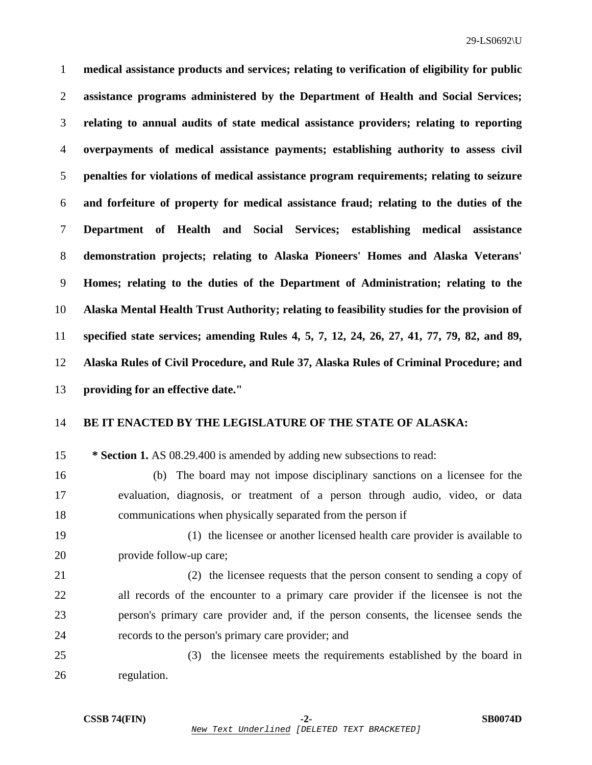**medical assistance products and services; relating to verification of eligibility for public assistance programs administered by the Department of Health and Social Services; relating to annual audits of state medical assistance providers; relating to reporting overpayments of medical assistance payments; establishing authority to assess civil penalties for violations of medical assistance program requirements; relating to seizure and forfeiture of property for medical assistance fraud; relating to the duties of the Department of Health and Social Services; establishing medical assistance demonstration projects; relating to Alaska Pioneers' Homes and Alaska Veterans' Homes; relating to the duties of the Department of Administration; relating to the Alaska Mental Health Trust Authority; relating to feasibility studies for the provision of specified state services; amending Rules 4, 5, 7, 12, 24, 26, 27, 41, 77, 79, 82, and 89, Alaska Rules of Civil Procedure, and Rule 37, Alaska Rules of Criminal Procedure; and providing for an effective date."** 

## 14 **BE IT ENACTED BY THE LEGISLATURE OF THE STATE OF ALASKA:**

15 **\* Section 1.** AS 08.29.400 is amended by adding new subsections to read:

16 (b) The board may not impose disciplinary sanctions on a licensee for the 17 evaluation, diagnosis, or treatment of a person through audio, video, or data 18 communications when physically separated from the person if

- 19 (1) the licensee or another licensed health care provider is available to 20 provide follow-up care;
- 21 (2) the licensee requests that the person consent to sending a copy of 22 all records of the encounter to a primary care provider if the licensee is not the 23 person's primary care provider and, if the person consents, the licensee sends the 24 records to the person's primary care provider; and
- 25 (3) the licensee meets the requirements established by the board in 26 regulation.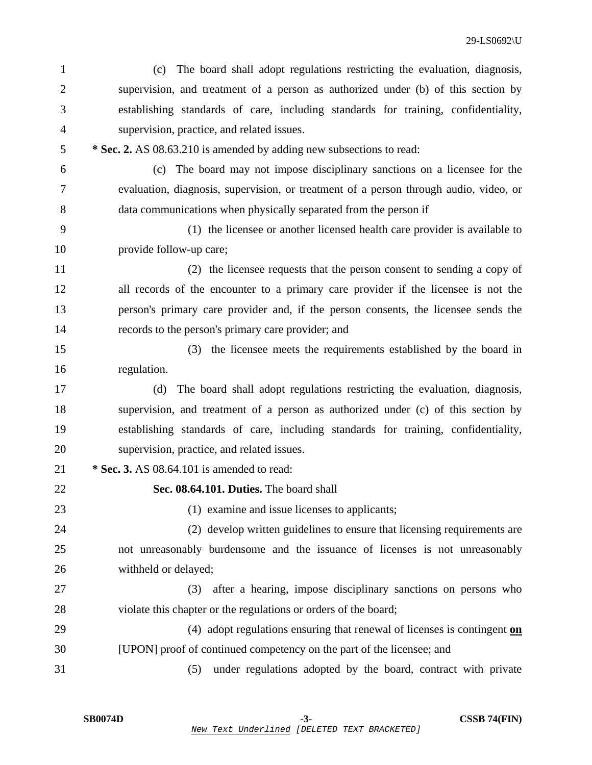| $\mathbf{1}$   | The board shall adopt regulations restricting the evaluation, diagnosis,<br>(c)       |
|----------------|---------------------------------------------------------------------------------------|
| $\overline{2}$ | supervision, and treatment of a person as authorized under (b) of this section by     |
| 3              | establishing standards of care, including standards for training, confidentiality,    |
| 4              | supervision, practice, and related issues.                                            |
| 5              | * Sec. 2. AS 08.63.210 is amended by adding new subsections to read:                  |
| 6              | (c) The board may not impose disciplinary sanctions on a licensee for the             |
| 7              | evaluation, diagnosis, supervision, or treatment of a person through audio, video, or |
| 8              | data communications when physically separated from the person if                      |
| 9              | (1) the licensee or another licensed health care provider is available to             |
| 10             | provide follow-up care;                                                               |
| 11             | (2) the licensee requests that the person consent to sending a copy of                |
| 12             | all records of the encounter to a primary care provider if the licensee is not the    |
| 13             | person's primary care provider and, if the person consents, the licensee sends the    |
| 14             | records to the person's primary care provider; and                                    |
| 15             | the licensee meets the requirements established by the board in<br>(3)                |
| 16             | regulation.                                                                           |
| 17             | The board shall adopt regulations restricting the evaluation, diagnosis,<br>(d)       |
| 18             | supervision, and treatment of a person as authorized under (c) of this section by     |
| 19             | establishing standards of care, including standards for training, confidentiality,    |
| 20             | supervision, practice, and related issues.                                            |
| 21             | * Sec. 3. AS 08.64.101 is amended to read:                                            |
| 22             | Sec. 08.64.101. Duties. The board shall                                               |
| 23             | (1) examine and issue licenses to applicants;                                         |
| 24             | (2) develop written guidelines to ensure that licensing requirements are              |
| 25             | not unreasonably burdensome and the issuance of licenses is not unreasonably          |
| 26             | withheld or delayed;                                                                  |
| 27             | after a hearing, impose disciplinary sanctions on persons who<br>(3)                  |
| 28             | violate this chapter or the regulations or orders of the board;                       |
| 29             | (4) adopt regulations ensuring that renewal of licenses is contingent on              |
| 30             | [UPON] proof of continued competency on the part of the licensee; and                 |
| 31             | under regulations adopted by the board, contract with private<br>(5)                  |
|                |                                                                                       |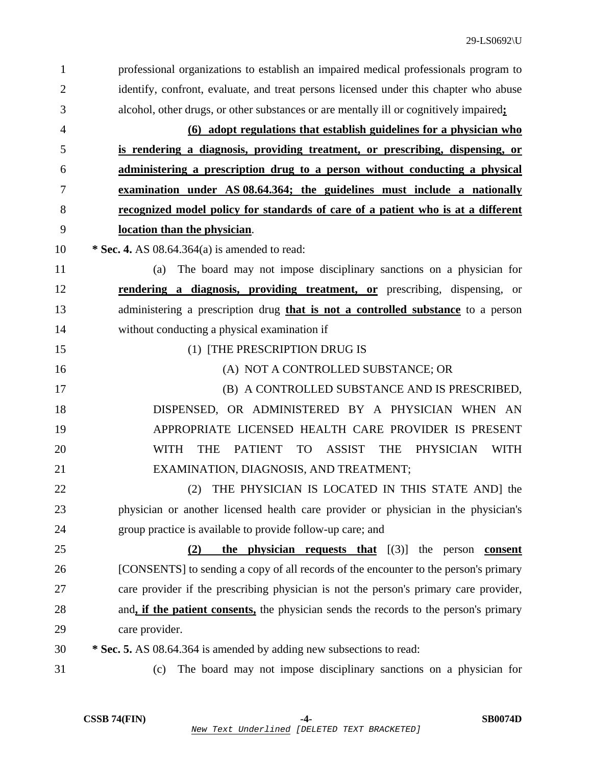| 1              | professional organizations to establish an impaired medical professionals program to            |
|----------------|-------------------------------------------------------------------------------------------------|
| $\overline{2}$ | identify, confront, evaluate, and treat persons licensed under this chapter who abuse           |
| 3              | alcohol, other drugs, or other substances or are mentally ill or cognitively impaired;          |
| $\overline{4}$ | (6) adopt regulations that establish guidelines for a physician who                             |
| 5              | is rendering a diagnosis, providing treatment, or prescribing, dispensing, or                   |
| 6              | administering a prescription drug to a person without conducting a physical                     |
| 7              | examination under AS 08.64.364; the guidelines must include a nationally                        |
| 8              | recognized model policy for standards of care of a patient who is at a different                |
| 9              | location than the physician.                                                                    |
| 10             | * Sec. 4. AS $08.64.364(a)$ is amended to read:                                                 |
| 11             | The board may not impose disciplinary sanctions on a physician for<br>(a)                       |
| 12             | rendering a diagnosis, providing treatment, or prescribing, dispensing, or                      |
| 13             | administering a prescription drug that is not a controlled substance to a person                |
| 14             | without conducting a physical examination if                                                    |
| 15             | (1) [THE PRESCRIPTION DRUG IS                                                                   |
| 16             | (A) NOT A CONTROLLED SUBSTANCE; OR                                                              |
| 17             | (B) A CONTROLLED SUBSTANCE AND IS PRESCRIBED,                                                   |
| 18             | DISPENSED, OR ADMINISTERED BY A PHYSICIAN WHEN AN                                               |
| 19             | APPROPRIATE LICENSED HEALTH CARE PROVIDER IS PRESENT                                            |
| 20             | TO ASSIST THE<br><b>WITH</b><br><b>THE</b><br><b>PATIENT</b><br><b>PHYSICIAN</b><br><b>WITH</b> |
| 21             | EXAMINATION, DIAGNOSIS, AND TREATMENT;                                                          |
| 22             | THE PHYSICIAN IS LOCATED IN THIS STATE AND] the<br>(2)                                          |
| 23             | physician or another licensed health care provider or physician in the physician's              |
| 24             | group practice is available to provide follow-up care; and                                      |
| 25             | <b>the physician requests that</b> $[(3)]$ the person <b>consent</b><br>(2)                     |
| 26             | [CONSENTS] to sending a copy of all records of the encounter to the person's primary            |
| 27             | care provider if the prescribing physician is not the person's primary care provider,           |
| 28             | and, if the patient consents, the physician sends the records to the person's primary           |
| 29             | care provider.                                                                                  |
| 30             | * Sec. 5. AS 08.64.364 is amended by adding new subsections to read:                            |
| 31             | The board may not impose disciplinary sanctions on a physician for<br>(c)                       |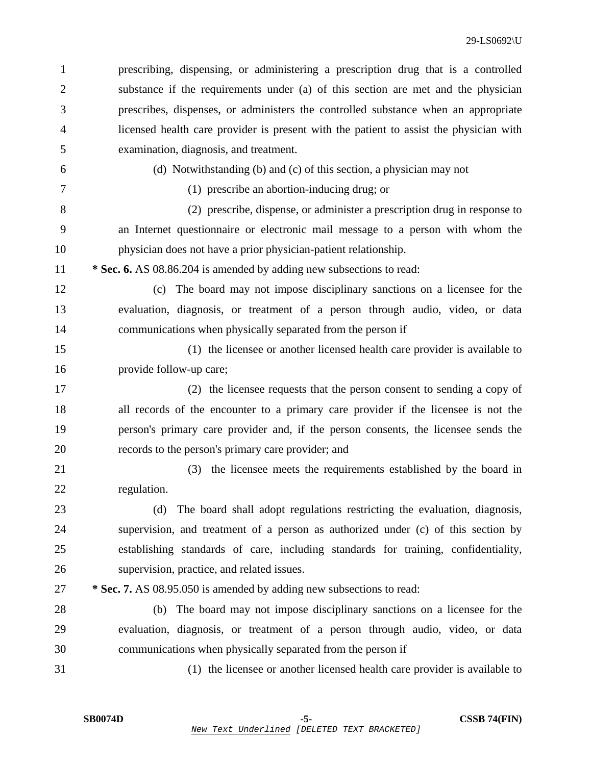| 1  | prescribing, dispensing, or administering a prescription drug that is a controlled     |
|----|----------------------------------------------------------------------------------------|
| 2  | substance if the requirements under (a) of this section are met and the physician      |
| 3  | prescribes, dispenses, or administers the controlled substance when an appropriate     |
| 4  | licensed health care provider is present with the patient to assist the physician with |
| 5  | examination, diagnosis, and treatment.                                                 |
| 6  | (d) Notwithstanding (b) and (c) of this section, a physician may not                   |
| 7  | (1) prescribe an abortion-inducing drug; or                                            |
| 8  | (2) prescribe, dispense, or administer a prescription drug in response to              |
| 9  | an Internet questionnaire or electronic mail message to a person with whom the         |
| 10 | physician does not have a prior physician-patient relationship.                        |
| 11 | * Sec. 6. AS 08.86.204 is amended by adding new subsections to read:                   |
| 12 | (c) The board may not impose disciplinary sanctions on a licensee for the              |
| 13 | evaluation, diagnosis, or treatment of a person through audio, video, or data          |
| 14 | communications when physically separated from the person if                            |
| 15 | (1) the licensee or another licensed health care provider is available to              |
| 16 | provide follow-up care;                                                                |
| 17 | (2) the licensee requests that the person consent to sending a copy of                 |
| 18 | all records of the encounter to a primary care provider if the licensee is not the     |
| 19 | person's primary care provider and, if the person consents, the licensee sends the     |
| 20 | records to the person's primary care provider; and                                     |
| 21 | the licensee meets the requirements established by the board in<br>(3)                 |
| 22 | regulation.                                                                            |
| 23 | The board shall adopt regulations restricting the evaluation, diagnosis,<br>(d)        |
| 24 | supervision, and treatment of a person as authorized under (c) of this section by      |
| 25 | establishing standards of care, including standards for training, confidentiality,     |
| 26 | supervision, practice, and related issues.                                             |
| 27 | * Sec. 7. AS 08.95.050 is amended by adding new subsections to read:                   |
| 28 | The board may not impose disciplinary sanctions on a licensee for the<br>(b)           |
| 29 | evaluation, diagnosis, or treatment of a person through audio, video, or data          |
| 30 | communications when physically separated from the person if                            |
| 31 | (1) the licensee or another licensed health care provider is available to              |
|    |                                                                                        |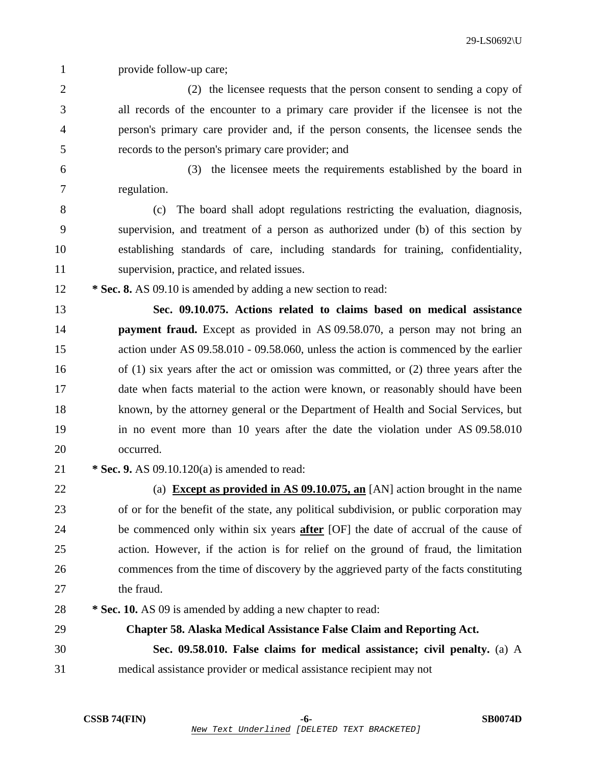1 provide follow-up care;

- 2 (2) the licensee requests that the person consent to sending a copy of 3 all records of the encounter to a primary care provider if the licensee is not the 4 person's primary care provider and, if the person consents, the licensee sends the 5 records to the person's primary care provider; and
- 

6 (3) the licensee meets the requirements established by the board in 7 regulation.

8 (c) The board shall adopt regulations restricting the evaluation, diagnosis, 9 supervision, and treatment of a person as authorized under (b) of this section by 10 establishing standards of care, including standards for training, confidentiality, 11 supervision, practice, and related issues.

12 **\* Sec. 8.** AS 09.10 is amended by adding a new section to read:

13 **Sec. 09.10.075. Actions related to claims based on medical assistance**  14 **payment fraud.** Except as provided in AS 09.58.070, a person may not bring an 15 action under AS 09.58.010 - 09.58.060, unless the action is commenced by the earlier 16 of (1) six years after the act or omission was committed, or (2) three years after the 17 date when facts material to the action were known, or reasonably should have been 18 known, by the attorney general or the Department of Health and Social Services, but 19 in no event more than 10 years after the date the violation under AS 09.58.010 20 occurred.

21 **\* Sec. 9.** AS 09.10.120(a) is amended to read:

22 (a) **Except as provided in AS 09.10.075, an** [AN] action brought in the name 23 of or for the benefit of the state, any political subdivision, or public corporation may 24 be commenced only within six years **after** [OF] the date of accrual of the cause of 25 action. However, if the action is for relief on the ground of fraud, the limitation 26 commences from the time of discovery by the aggrieved party of the facts constituting 27 the fraud.

28 **\* Sec. 10.** AS 09 is amended by adding a new chapter to read:

29 **Chapter 58. Alaska Medical Assistance False Claim and Reporting Act.**  30 **Sec. 09.58.010. False claims for medical assistance; civil penalty.** (a) A 31 medical assistance provider or medical assistance recipient may not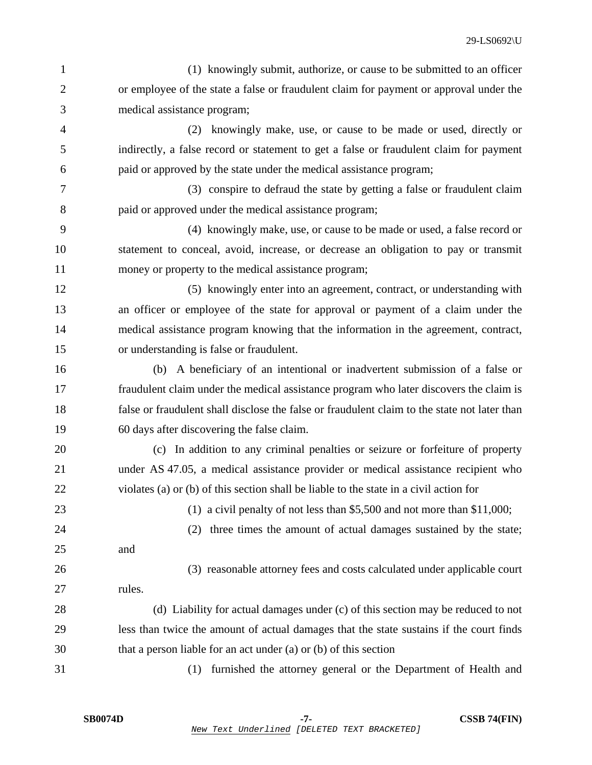1 (1) knowingly submit, authorize, or cause to be submitted to an officer 2 or employee of the state a false or fraudulent claim for payment or approval under the 3 medical assistance program;

4 (2) knowingly make, use, or cause to be made or used, directly or 5 indirectly, a false record or statement to get a false or fraudulent claim for payment 6 paid or approved by the state under the medical assistance program;

7 (3) conspire to defraud the state by getting a false or fraudulent claim 8 paid or approved under the medical assistance program;

9 (4) knowingly make, use, or cause to be made or used, a false record or 10 statement to conceal, avoid, increase, or decrease an obligation to pay or transmit 11 money or property to the medical assistance program;

12 (5) knowingly enter into an agreement, contract, or understanding with 13 an officer or employee of the state for approval or payment of a claim under the 14 medical assistance program knowing that the information in the agreement, contract, 15 or understanding is false or fraudulent.

16 (b) A beneficiary of an intentional or inadvertent submission of a false or 17 fraudulent claim under the medical assistance program who later discovers the claim is 18 false or fraudulent shall disclose the false or fraudulent claim to the state not later than 19 60 days after discovering the false claim.

20 (c) In addition to any criminal penalties or seizure or forfeiture of property 21 under AS 47.05, a medical assistance provider or medical assistance recipient who 22 violates (a) or (b) of this section shall be liable to the state in a civil action for

23 (1) a civil penalty of not less than \$5,500 and not more than \$11,000;

24 (2) three times the amount of actual damages sustained by the state; 25 and 26 (3) reasonable attorney fees and costs calculated under applicable court

27 rules.

28 (d) Liability for actual damages under (c) of this section may be reduced to not 29 less than twice the amount of actual damages that the state sustains if the court finds 30 that a person liable for an act under (a) or (b) of this section

31 (1) furnished the attorney general or the Department of Health and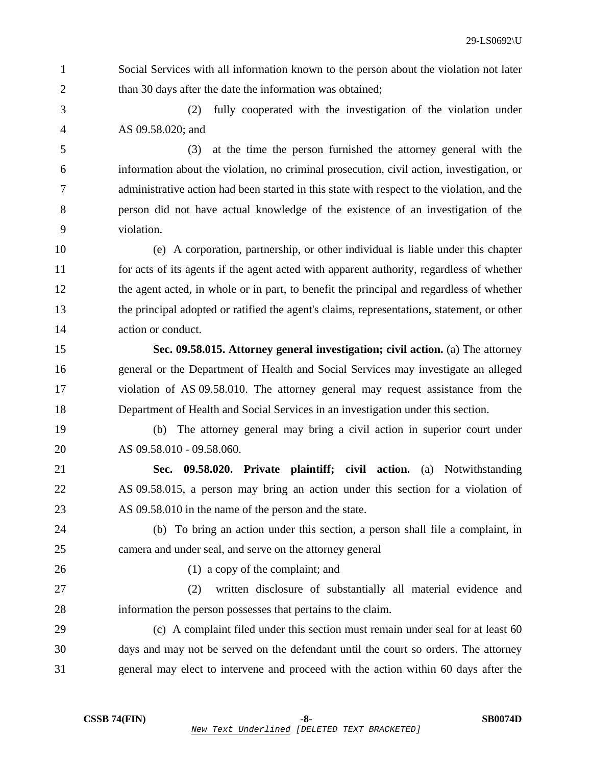- 1 Social Services with all information known to the person about the violation not later 2 than 30 days after the date the information was obtained;
- 3 (2) fully cooperated with the investigation of the violation under 4 AS 09.58.020; and

5 (3) at the time the person furnished the attorney general with the 6 information about the violation, no criminal prosecution, civil action, investigation, or 7 administrative action had been started in this state with respect to the violation, and the 8 person did not have actual knowledge of the existence of an investigation of the 9 violation.

10 (e) A corporation, partnership, or other individual is liable under this chapter 11 for acts of its agents if the agent acted with apparent authority, regardless of whether 12 the agent acted, in whole or in part, to benefit the principal and regardless of whether 13 the principal adopted or ratified the agent's claims, representations, statement, or other 14 action or conduct.

15 **Sec. 09.58.015. Attorney general investigation; civil action.** (a) The attorney 16 general or the Department of Health and Social Services may investigate an alleged 17 violation of AS 09.58.010. The attorney general may request assistance from the 18 Department of Health and Social Services in an investigation under this section.

19 (b) The attorney general may bring a civil action in superior court under 20 AS 09.58.010 - 09.58.060.

21 **Sec. 09.58.020. Private plaintiff; civil action.** (a) Notwithstanding 22 AS 09.58.015, a person may bring an action under this section for a violation of 23 AS 09.58.010 in the name of the person and the state.

24 (b) To bring an action under this section, a person shall file a complaint, in 25 camera and under seal, and serve on the attorney general

26 (1) a copy of the complaint; and

27 (2) written disclosure of substantially all material evidence and 28 information the person possesses that pertains to the claim.

29 (c) A complaint filed under this section must remain under seal for at least 60 30 days and may not be served on the defendant until the court so orders. The attorney 31 general may elect to intervene and proceed with the action within 60 days after the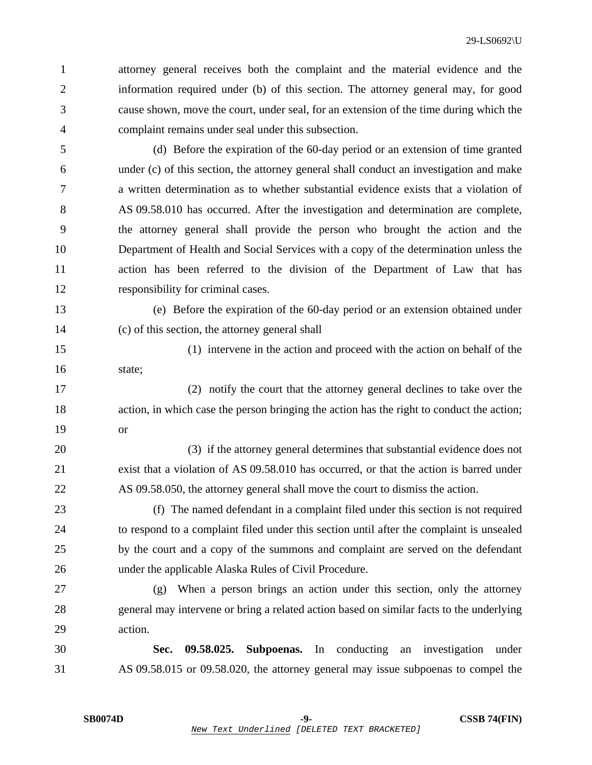1 attorney general receives both the complaint and the material evidence and the 2 information required under (b) of this section. The attorney general may, for good 3 cause shown, move the court, under seal, for an extension of the time during which the 4 complaint remains under seal under this subsection.

5 (d) Before the expiration of the 60-day period or an extension of time granted 6 under (c) of this section, the attorney general shall conduct an investigation and make 7 a written determination as to whether substantial evidence exists that a violation of 8 AS 09.58.010 has occurred. After the investigation and determination are complete, 9 the attorney general shall provide the person who brought the action and the 10 Department of Health and Social Services with a copy of the determination unless the 11 action has been referred to the division of the Department of Law that has 12 responsibility for criminal cases.

13 (e) Before the expiration of the 60-day period or an extension obtained under 14 (c) of this section, the attorney general shall

15 (1) intervene in the action and proceed with the action on behalf of the 16 state;

17 (2) notify the court that the attorney general declines to take over the 18 action, in which case the person bringing the action has the right to conduct the action; 19 or

20 (3) if the attorney general determines that substantial evidence does not 21 exist that a violation of AS 09.58.010 has occurred, or that the action is barred under 22 AS 09.58.050, the attorney general shall move the court to dismiss the action.

23 (f) The named defendant in a complaint filed under this section is not required 24 to respond to a complaint filed under this section until after the complaint is unsealed 25 by the court and a copy of the summons and complaint are served on the defendant 26 under the applicable Alaska Rules of Civil Procedure.

27 (g) When a person brings an action under this section, only the attorney 28 general may intervene or bring a related action based on similar facts to the underlying 29 action.

30 **Sec. 09.58.025. Subpoenas.** In conducting an investigation under 31 AS 09.58.015 or 09.58.020, the attorney general may issue subpoenas to compel the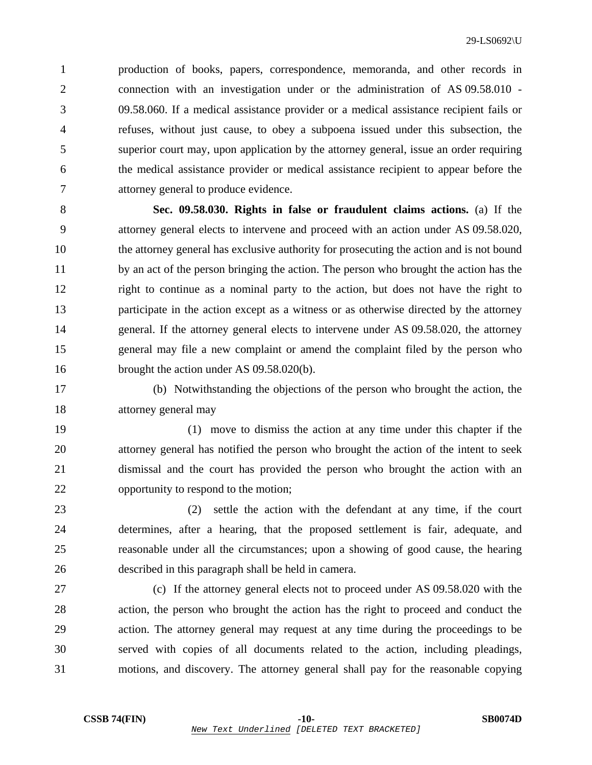1 production of books, papers, correspondence, memoranda, and other records in 2 connection with an investigation under or the administration of AS 09.58.010 - 3 09.58.060. If a medical assistance provider or a medical assistance recipient fails or 4 refuses, without just cause, to obey a subpoena issued under this subsection, the 5 superior court may, upon application by the attorney general, issue an order requiring 6 the medical assistance provider or medical assistance recipient to appear before the 7 attorney general to produce evidence.

8 **Sec. 09.58.030. Rights in false or fraudulent claims actions.** (a) If the 9 attorney general elects to intervene and proceed with an action under AS 09.58.020, 10 the attorney general has exclusive authority for prosecuting the action and is not bound 11 by an act of the person bringing the action. The person who brought the action has the 12 right to continue as a nominal party to the action, but does not have the right to 13 participate in the action except as a witness or as otherwise directed by the attorney 14 general. If the attorney general elects to intervene under AS 09.58.020, the attorney 15 general may file a new complaint or amend the complaint filed by the person who 16 brought the action under AS 09.58.020(b).

17 (b) Notwithstanding the objections of the person who brought the action, the 18 attorney general may

19 (1) move to dismiss the action at any time under this chapter if the 20 attorney general has notified the person who brought the action of the intent to seek 21 dismissal and the court has provided the person who brought the action with an 22 opportunity to respond to the motion;

23 (2) settle the action with the defendant at any time, if the court 24 determines, after a hearing, that the proposed settlement is fair, adequate, and 25 reasonable under all the circumstances; upon a showing of good cause, the hearing 26 described in this paragraph shall be held in camera.

27 (c) If the attorney general elects not to proceed under AS 09.58.020 with the 28 action, the person who brought the action has the right to proceed and conduct the 29 action. The attorney general may request at any time during the proceedings to be 30 served with copies of all documents related to the action, including pleadings, 31 motions, and discovery. The attorney general shall pay for the reasonable copying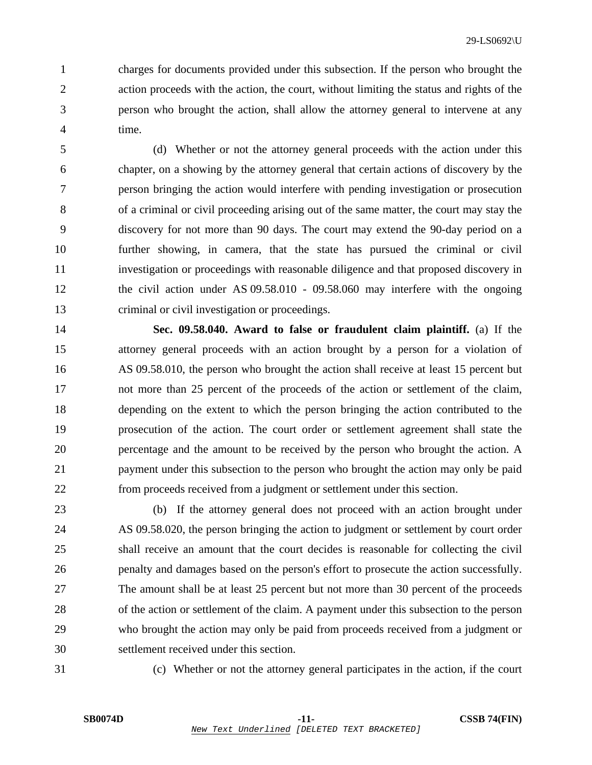1 charges for documents provided under this subsection. If the person who brought the 2 action proceeds with the action, the court, without limiting the status and rights of the 3 person who brought the action, shall allow the attorney general to intervene at any 4 time.

5 (d) Whether or not the attorney general proceeds with the action under this 6 chapter, on a showing by the attorney general that certain actions of discovery by the 7 person bringing the action would interfere with pending investigation or prosecution 8 of a criminal or civil proceeding arising out of the same matter, the court may stay the 9 discovery for not more than 90 days. The court may extend the 90-day period on a 10 further showing, in camera, that the state has pursued the criminal or civil 11 investigation or proceedings with reasonable diligence and that proposed discovery in 12 the civil action under AS 09.58.010 - 09.58.060 may interfere with the ongoing 13 criminal or civil investigation or proceedings.

14 **Sec. 09.58.040. Award to false or fraudulent claim plaintiff.** (a) If the 15 attorney general proceeds with an action brought by a person for a violation of 16 AS 09.58.010, the person who brought the action shall receive at least 15 percent but 17 not more than 25 percent of the proceeds of the action or settlement of the claim, 18 depending on the extent to which the person bringing the action contributed to the 19 prosecution of the action. The court order or settlement agreement shall state the 20 percentage and the amount to be received by the person who brought the action. A 21 payment under this subsection to the person who brought the action may only be paid 22 from proceeds received from a judgment or settlement under this section.

23 (b) If the attorney general does not proceed with an action brought under 24 AS 09.58.020, the person bringing the action to judgment or settlement by court order 25 shall receive an amount that the court decides is reasonable for collecting the civil 26 penalty and damages based on the person's effort to prosecute the action successfully. 27 The amount shall be at least 25 percent but not more than 30 percent of the proceeds 28 of the action or settlement of the claim. A payment under this subsection to the person 29 who brought the action may only be paid from proceeds received from a judgment or 30 settlement received under this section.

31 (c) Whether or not the attorney general participates in the action, if the court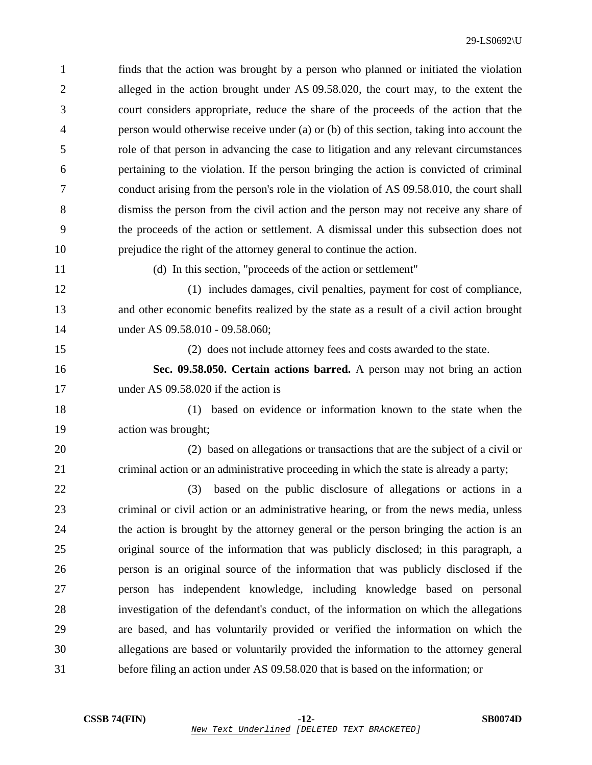| $\mathbf{1}$   | finds that the action was brought by a person who planned or initiated the violation     |
|----------------|------------------------------------------------------------------------------------------|
| $\overline{2}$ | alleged in the action brought under AS 09.58.020, the court may, to the extent the       |
| 3              | court considers appropriate, reduce the share of the proceeds of the action that the     |
| $\overline{4}$ | person would otherwise receive under (a) or (b) of this section, taking into account the |
| 5              | role of that person in advancing the case to litigation and any relevant circumstances   |
| 6              | pertaining to the violation. If the person bringing the action is convicted of criminal  |
| 7              | conduct arising from the person's role in the violation of AS 09.58.010, the court shall |
| 8              | dismiss the person from the civil action and the person may not receive any share of     |
| 9              | the proceeds of the action or settlement. A dismissal under this subsection does not     |
| 10             | prejudice the right of the attorney general to continue the action.                      |
| 11             | (d) In this section, "proceeds of the action or settlement"                              |
| 12             | (1) includes damages, civil penalties, payment for cost of compliance,                   |
| 13             | and other economic benefits realized by the state as a result of a civil action brought  |
| 14             | under AS 09.58.010 - 09.58.060;                                                          |
| 15             | (2) does not include attorney fees and costs awarded to the state.                       |
| 16             | Sec. 09.58.050. Certain actions barred. A person may not bring an action                 |
| 17             | under AS 09.58.020 if the action is                                                      |
| 18             | based on evidence or information known to the state when the<br>(1)                      |
| 19             | action was brought;                                                                      |
| 20             | (2) based on allegations or transactions that are the subject of a civil or              |
| 21             | criminal action or an administrative proceeding in which the state is already a party;   |
| 22             | based on the public disclosure of allegations or actions in a<br>(3)                     |
| 23             | criminal or civil action or an administrative hearing, or from the news media, unless    |
| 24             | the action is brought by the attorney general or the person bringing the action is an    |
| 25             | original source of the information that was publicly disclosed; in this paragraph, a     |
| 26             | person is an original source of the information that was publicly disclosed if the       |
| 27             | person has independent knowledge, including knowledge based on personal                  |
| 28             | investigation of the defendant's conduct, of the information on which the allegations    |
| 29             | are based, and has voluntarily provided or verified the information on which the         |
| 30             | allegations are based or voluntarily provided the information to the attorney general    |
| 31             | before filing an action under AS 09.58.020 that is based on the information; or          |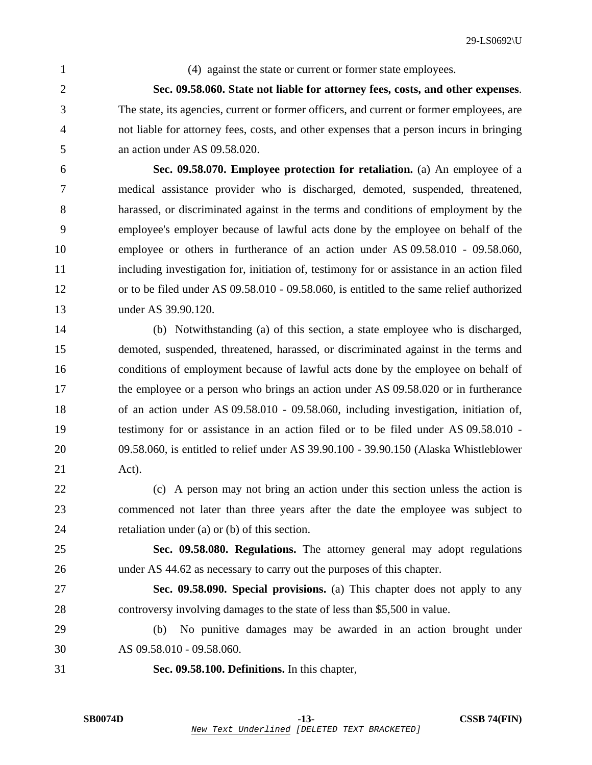1 (4) against the state or current or former state employees.

2 **Sec. 09.58.060. State not liable for attorney fees, costs, and other expenses**. 3 The state, its agencies, current or former officers, and current or former employees, are 4 not liable for attorney fees, costs, and other expenses that a person incurs in bringing 5 an action under AS 09.58.020.

6 **Sec. 09.58.070. Employee protection for retaliation.** (a) An employee of a 7 medical assistance provider who is discharged, demoted, suspended, threatened, 8 harassed, or discriminated against in the terms and conditions of employment by the 9 employee's employer because of lawful acts done by the employee on behalf of the 10 employee or others in furtherance of an action under AS 09.58.010 - 09.58.060, 11 including investigation for, initiation of, testimony for or assistance in an action filed 12 or to be filed under AS 09.58.010 - 09.58.060, is entitled to the same relief authorized 13 under AS 39.90.120.

14 (b) Notwithstanding (a) of this section, a state employee who is discharged, 15 demoted, suspended, threatened, harassed, or discriminated against in the terms and 16 conditions of employment because of lawful acts done by the employee on behalf of 17 the employee or a person who brings an action under AS 09.58.020 or in furtherance 18 of an action under AS 09.58.010 - 09.58.060, including investigation, initiation of, 19 testimony for or assistance in an action filed or to be filed under AS 09.58.010 - 20 09.58.060, is entitled to relief under AS 39.90.100 - 39.90.150 (Alaska Whistleblower 21 Act).

22 (c) A person may not bring an action under this section unless the action is 23 commenced not later than three years after the date the employee was subject to 24 retaliation under (a) or (b) of this section.

25 **Sec. 09.58.080. Regulations.** The attorney general may adopt regulations 26 under AS 44.62 as necessary to carry out the purposes of this chapter.

27 **Sec. 09.58.090. Special provisions.** (a) This chapter does not apply to any 28 controversy involving damages to the state of less than \$5,500 in value.

29 (b) No punitive damages may be awarded in an action brought under 30 AS 09.58.010 - 09.58.060.

31 **Sec. 09.58.100. Definitions.** In this chapter,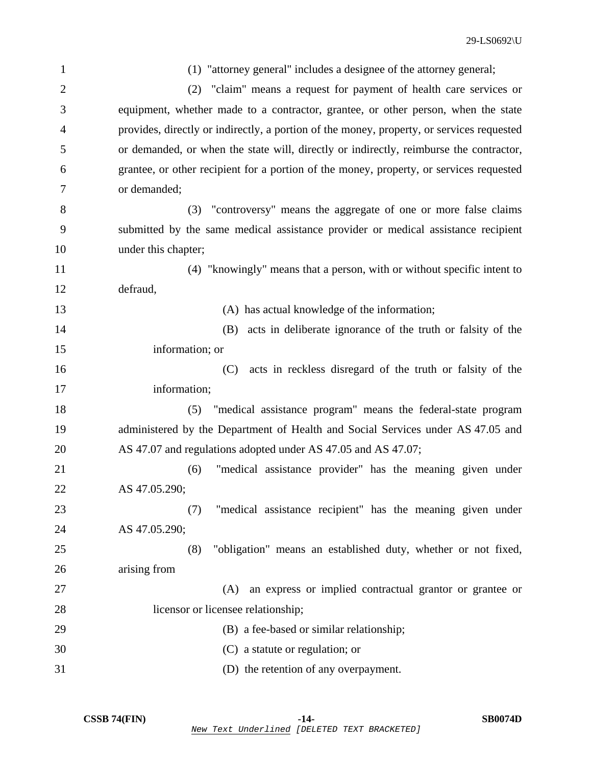| $\mathbf{1}$   | (1) "attorney general" includes a designee of the attorney general;                       |
|----------------|-------------------------------------------------------------------------------------------|
| $\overline{2}$ | (2) "claim" means a request for payment of health care services or                        |
| 3              | equipment, whether made to a contractor, grantee, or other person, when the state         |
| 4              | provides, directly or indirectly, a portion of the money, property, or services requested |
| 5              | or demanded, or when the state will, directly or indirectly, reimburse the contractor,    |
| 6              | grantee, or other recipient for a portion of the money, property, or services requested   |
| 7              | or demanded;                                                                              |
| 8              | (3) "controversy" means the aggregate of one or more false claims                         |
| 9              | submitted by the same medical assistance provider or medical assistance recipient         |
| 10             | under this chapter;                                                                       |
| 11             | (4) "knowingly" means that a person, with or without specific intent to                   |
| 12             | defraud,                                                                                  |
| 13             | (A) has actual knowledge of the information;                                              |
| 14             | acts in deliberate ignorance of the truth or falsity of the<br>(B)                        |
| 15             | information; or                                                                           |
| 16             | acts in reckless disregard of the truth or falsity of the<br>(C)                          |
| 17             | information;                                                                              |
| 18             | "medical assistance program" means the federal-state program<br>(5)                       |
| 19             | administered by the Department of Health and Social Services under AS 47.05 and           |
| 20             | AS 47.07 and regulations adopted under AS 47.05 and AS 47.07;                             |
| 21             | "medical assistance provider" has the meaning given under<br>(6)                          |
| 22             | AS 47.05.290;                                                                             |
| 23             | "medical assistance recipient" has the meaning given under<br>(7)                         |
| 24             | AS 47.05.290;                                                                             |
| 25             | "obligation" means an established duty, whether or not fixed,<br>(8)                      |
| 26             | arising from                                                                              |
| 27             | an express or implied contractual grantor or grantee or<br>(A)                            |
| 28             | licensor or licensee relationship;                                                        |
| 29             | (B) a fee-based or similar relationship;                                                  |
| 30             | (C) a statute or regulation; or                                                           |
| 31             | (D) the retention of any overpayment.                                                     |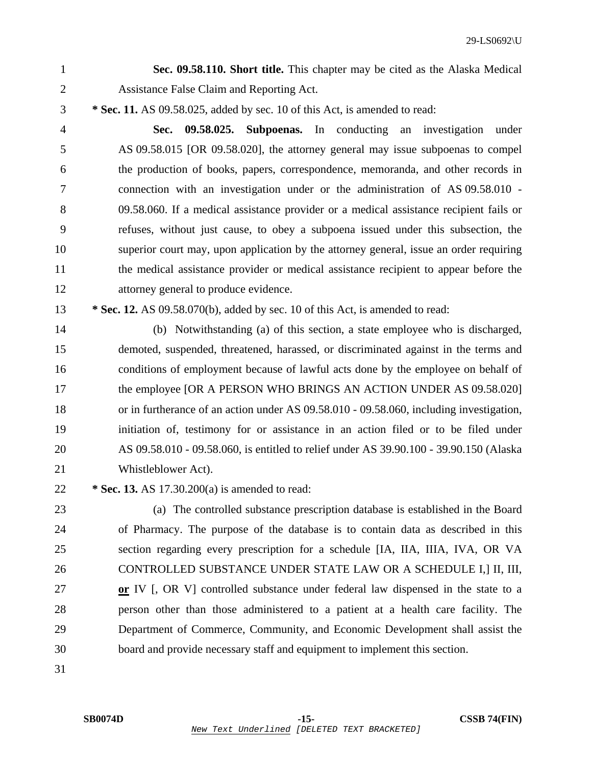1 **Sec. 09.58.110. Short title.** This chapter may be cited as the Alaska Medical 2 Assistance False Claim and Reporting Act.

3 **\* Sec. 11.** AS 09.58.025, added by sec. 10 of this Act, is amended to read:

4 **Sec. 09.58.025. Subpoenas.** In conducting an investigation under 5 AS 09.58.015 [OR 09.58.020], the attorney general may issue subpoenas to compel 6 the production of books, papers, correspondence, memoranda, and other records in 7 connection with an investigation under or the administration of AS 09.58.010 - 8 09.58.060. If a medical assistance provider or a medical assistance recipient fails or 9 refuses, without just cause, to obey a subpoena issued under this subsection, the 10 superior court may, upon application by the attorney general, issue an order requiring 11 the medical assistance provider or medical assistance recipient to appear before the 12 attorney general to produce evidence.

13 **\* Sec. 12.** AS 09.58.070(b), added by sec. 10 of this Act, is amended to read:

14 (b) Notwithstanding (a) of this section, a state employee who is discharged, 15 demoted, suspended, threatened, harassed, or discriminated against in the terms and 16 conditions of employment because of lawful acts done by the employee on behalf of 17 the employee [OR A PERSON WHO BRINGS AN ACTION UNDER AS 09.58.020] 18 or in furtherance of an action under AS 09.58.010 - 09.58.060, including investigation, 19 initiation of, testimony for or assistance in an action filed or to be filed under 20 AS 09.58.010 - 09.58.060, is entitled to relief under AS 39.90.100 - 39.90.150 (Alaska 21 Whistleblower Act).

22 **\* Sec. 13.** AS 17.30.200(a) is amended to read:

23 (a) The controlled substance prescription database is established in the Board 24 of Pharmacy. The purpose of the database is to contain data as described in this 25 section regarding every prescription for a schedule [IA, IIA, IIIA, IVA, OR VA 26 CONTROLLED SUBSTANCE UNDER STATE LAW OR A SCHEDULE I,] II, III, 27 **or** IV [, OR V] controlled substance under federal law dispensed in the state to a 28 person other than those administered to a patient at a health care facility. The 29 Department of Commerce, Community, and Economic Development shall assist the 30 board and provide necessary staff and equipment to implement this section.

31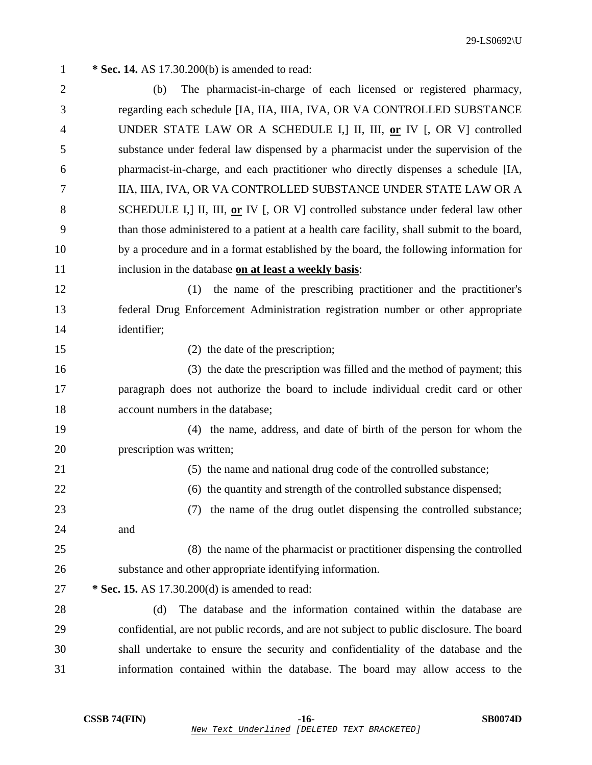| $\mathbf{1}$   | * Sec. 14. AS 17.30.200(b) is amended to read:                                             |
|----------------|--------------------------------------------------------------------------------------------|
| $\overline{2}$ | The pharmacist-in-charge of each licensed or registered pharmacy,<br>(b)                   |
| 3              | regarding each schedule [IA, IIA, IIIA, IVA, OR VA CONTROLLED SUBSTANCE                    |
| $\overline{4}$ | UNDER STATE LAW OR A SCHEDULE I, III, III, or IV [, OR V] controlled                       |
| 5              | substance under federal law dispensed by a pharmacist under the supervision of the         |
| 6              | pharmacist-in-charge, and each practitioner who directly dispenses a schedule [IA,         |
| 7              | IIA, IIIA, IVA, OR VA CONTROLLED SUBSTANCE UNDER STATE LAW OR A                            |
| 8              | SCHEDULE I, III, III, or IV [, OR V] controlled substance under federal law other          |
| 9              | than those administered to a patient at a health care facility, shall submit to the board, |
| 10             | by a procedure and in a format established by the board, the following information for     |
| 11             | inclusion in the database on at least a weekly basis:                                      |
| 12             | the name of the prescribing practitioner and the practitioner's<br>(1)                     |
| 13             | federal Drug Enforcement Administration registration number or other appropriate           |
| 14             | identifier;                                                                                |
| 15             | (2) the date of the prescription;                                                          |
| 16             | (3) the date the prescription was filled and the method of payment; this                   |
| 17             | paragraph does not authorize the board to include individual credit card or other          |
| 18             | account numbers in the database;                                                           |
| 19             | (4) the name, address, and date of birth of the person for whom the                        |
| 20             | prescription was written;                                                                  |
| 21             | (5) the name and national drug code of the controlled substance;                           |
| 22             | (6) the quantity and strength of the controlled substance dispensed;                       |
| 23             | the name of the drug outlet dispensing the controlled substance;<br>(7)                    |
| 24             | and                                                                                        |
| 25             | (8) the name of the pharmacist or practitioner dispensing the controlled                   |
| 26             | substance and other appropriate identifying information.                                   |
| 27             | * Sec. 15. AS 17.30.200(d) is amended to read:                                             |
| 28             | The database and the information contained within the database are<br>(d)                  |
| 29             | confidential, are not public records, and are not subject to public disclosure. The board  |
| 30             | shall undertake to ensure the security and confidentiality of the database and the         |
| 31             | information contained within the database. The board may allow access to the               |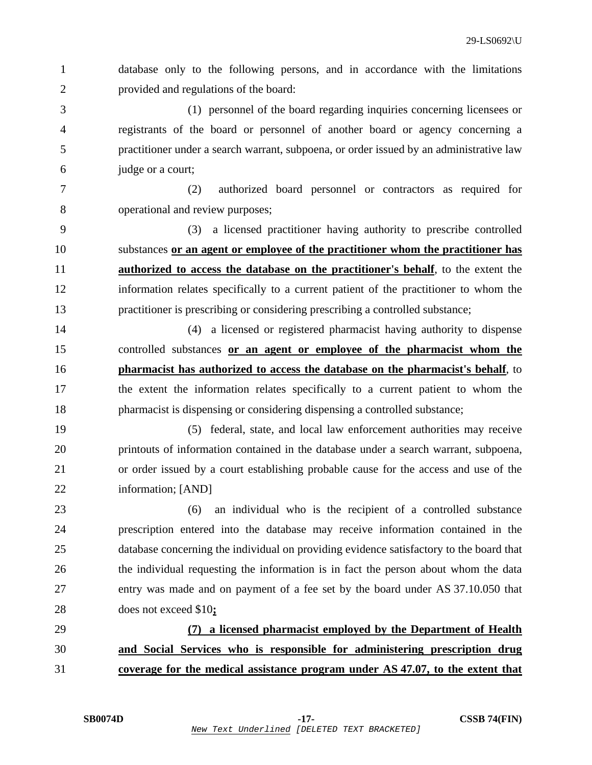1 database only to the following persons, and in accordance with the limitations 2 provided and regulations of the board:

3 (1) personnel of the board regarding inquiries concerning licensees or 4 registrants of the board or personnel of another board or agency concerning a 5 practitioner under a search warrant, subpoena, or order issued by an administrative law 6 judge or a court;

7 (2) authorized board personnel or contractors as required for 8 operational and review purposes;

9 (3) a licensed practitioner having authority to prescribe controlled 10 substances **or an agent or employee of the practitioner whom the practitioner has** 11 **authorized to access the database on the practitioner's behalf**, to the extent the 12 information relates specifically to a current patient of the practitioner to whom the 13 practitioner is prescribing or considering prescribing a controlled substance;

14 (4) a licensed or registered pharmacist having authority to dispense 15 controlled substances **or an agent or employee of the pharmacist whom the** 16 **pharmacist has authorized to access the database on the pharmacist's behalf**, to 17 the extent the information relates specifically to a current patient to whom the 18 pharmacist is dispensing or considering dispensing a controlled substance;

19 (5) federal, state, and local law enforcement authorities may receive 20 printouts of information contained in the database under a search warrant, subpoena, 21 or order issued by a court establishing probable cause for the access and use of the 22 information; [AND]

23 (6) an individual who is the recipient of a controlled substance 24 prescription entered into the database may receive information contained in the 25 database concerning the individual on providing evidence satisfactory to the board that 26 the individual requesting the information is in fact the person about whom the data 27 entry was made and on payment of a fee set by the board under AS 37.10.050 that 28 does not exceed \$10**;**

29 **(7) a licensed pharmacist employed by the Department of Health** 30 **and Social Services who is responsible for administering prescription drug** 31 **coverage for the medical assistance program under AS 47.07, to the extent that**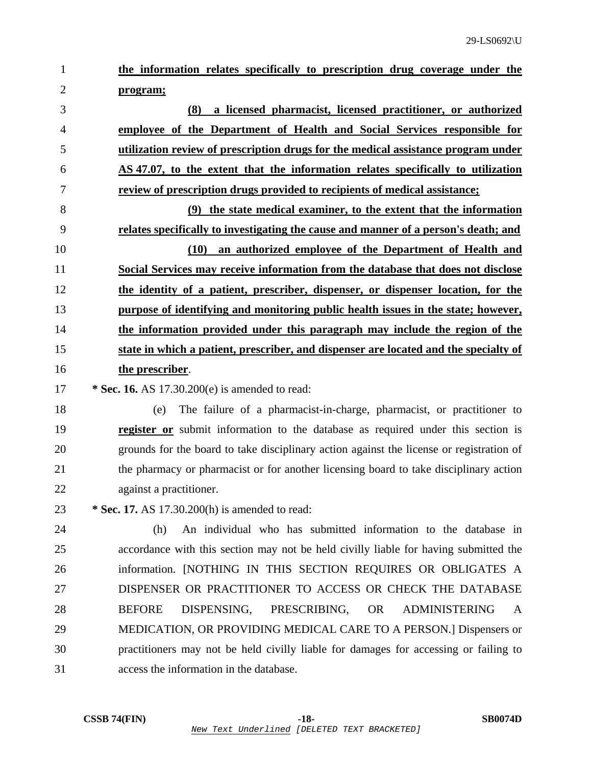1 **the information relates specifically to prescription drug coverage under the** 2 **program;**

**(8) a licensed pharmacist, licensed practitioner, or authorized employee of the Department of Health and Social Services responsible for utilization review of prescription drugs for the medical assistance program under AS 47.07, to the extent that the information relates specifically to utilization review of prescription drugs provided to recipients of medical assistance;**

**(9) the state medical examiner, to the extent that the information relates specifically to investigating the cause and manner of a person's death; and (10) an authorized employee of the Department of Health and Social Services may receive information from the database that does not disclose the identity of a patient, prescriber, dispenser, or dispenser location, for the purpose of identifying and monitoring public health issues in the state; however, the information provided under this paragraph may include the region of the**

- 15 **state in which a patient, prescriber, and dispenser are located and the specialty of** 16 **the prescriber**.
- 17 **\* Sec. 16.** AS 17.30.200(e) is amended to read:
- 18 (e) The failure of a pharmacist-in-charge, pharmacist, or practitioner to 19 **register or** submit information to the database as required under this section is 20 grounds for the board to take disciplinary action against the license or registration of 21 the pharmacy or pharmacist or for another licensing board to take disciplinary action 22 against a practitioner.
- 23 **\* Sec. 17.** AS 17.30.200(h) is amended to read:

24 (h) An individual who has submitted information to the database in 25 accordance with this section may not be held civilly liable for having submitted the 26 information. [NOTHING IN THIS SECTION REQUIRES OR OBLIGATES A 27 DISPENSER OR PRACTITIONER TO ACCESS OR CHECK THE DATABASE 28 BEFORE DISPENSING, PRESCRIBING, OR ADMINISTERING A 29 MEDICATION, OR PROVIDING MEDICAL CARE TO A PERSON.] Dispensers or 30 practitioners may not be held civilly liable for damages for accessing or failing to 31 access the information in the database.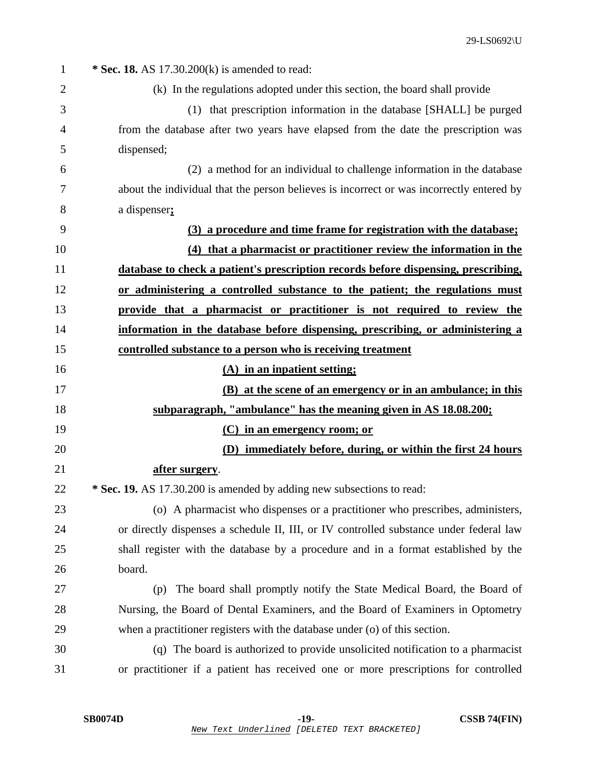| $\mathbf{1}$ | * Sec. 18. AS $17.30.200(k)$ is amended to read:                                         |
|--------------|------------------------------------------------------------------------------------------|
| 2            | (k) In the regulations adopted under this section, the board shall provide               |
| 3            | (1) that prescription information in the database [SHALL] be purged                      |
| 4            | from the database after two years have elapsed from the date the prescription was        |
| 5            | dispensed;                                                                               |
| 6            | (2) a method for an individual to challenge information in the database                  |
| 7            | about the individual that the person believes is incorrect or was incorrectly entered by |
| 8            | a dispenser;                                                                             |
| 9            | (3) a procedure and time frame for registration with the database;                       |
| 10           | (4) that a pharmacist or practitioner review the information in the                      |
| 11           | database to check a patient's prescription records before dispensing, prescribing,       |
| 12           | or administering a controlled substance to the patient; the regulations must             |
| 13           | provide that a pharmacist or practitioner is not required to review the                  |
| 14           | information in the database before dispensing, prescribing, or administering a           |
| 15           | controlled substance to a person who is receiving treatment                              |
| 16           | (A) in an inpatient setting;                                                             |
| 17           | (B) at the scene of an emergency or in an ambulance; in this                             |
| 18           | subparagraph, "ambulance" has the meaning given in AS 18.08.200;                         |
| 19           | (C) in an emergency room; or                                                             |
| 20           | (D) immediately before, during, or within the first 24 hours                             |
| 21           | <u>after surgery</u> .                                                                   |
| 22           | * Sec. 19. AS 17.30.200 is amended by adding new subsections to read:                    |
| 23           | (o) A pharmacist who dispenses or a practitioner who prescribes, administers,            |
| 24           | or directly dispenses a schedule II, III, or IV controlled substance under federal law   |
| 25           | shall register with the database by a procedure and in a format established by the       |
| 26           | board.                                                                                   |
| 27           | The board shall promptly notify the State Medical Board, the Board of<br>(p)             |
| 28           | Nursing, the Board of Dental Examiners, and the Board of Examiners in Optometry          |
| 29           | when a practitioner registers with the database under (o) of this section.               |
| 30           | (q) The board is authorized to provide unsolicited notification to a pharmacist          |
| 31           | or practitioner if a patient has received one or more prescriptions for controlled       |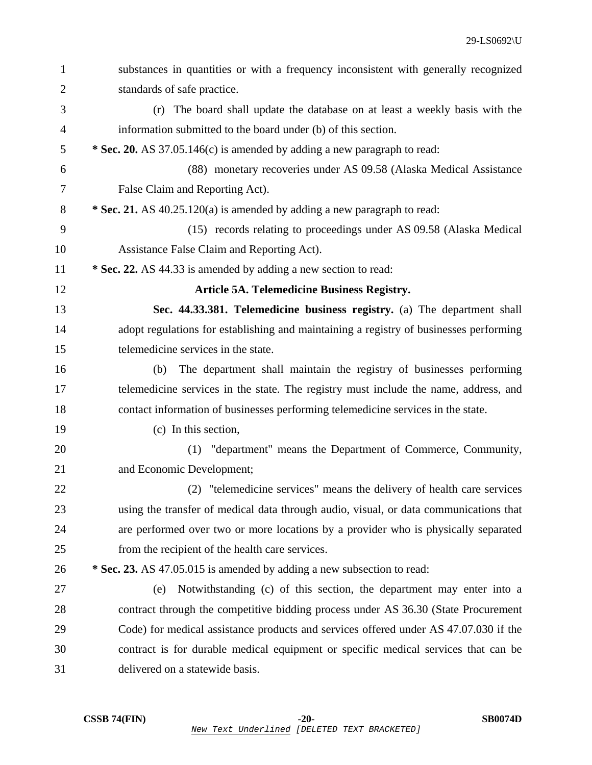| $\mathbf{1}$   | substances in quantities or with a frequency inconsistent with generally recognized    |
|----------------|----------------------------------------------------------------------------------------|
| $\overline{2}$ | standards of safe practice.                                                            |
| 3              | (r) The board shall update the database on at least a weekly basis with the            |
| $\overline{4}$ | information submitted to the board under (b) of this section.                          |
| 5              | * Sec. 20. AS 37.05.146(c) is amended by adding a new paragraph to read:               |
| 6              | (88) monetary recoveries under AS 09.58 (Alaska Medical Assistance                     |
| $\tau$         | False Claim and Reporting Act).                                                        |
| 8              | * Sec. 21. AS 40.25.120(a) is amended by adding a new paragraph to read:               |
| 9              | (15) records relating to proceedings under AS 09.58 (Alaska Medical                    |
| 10             | Assistance False Claim and Reporting Act).                                             |
| 11             | * Sec. 22. AS 44.33 is amended by adding a new section to read:                        |
| 12             | Article 5A. Telemedicine Business Registry.                                            |
| 13             | Sec. 44.33.381. Telemedicine business registry. (a) The department shall               |
| 14             | adopt regulations for establishing and maintaining a registry of businesses performing |
| 15             | telemedicine services in the state.                                                    |
| 16             | The department shall maintain the registry of businesses performing<br>(b)             |
| 17             | telemedicine services in the state. The registry must include the name, address, and   |
| 18             | contact information of businesses performing telemedicine services in the state.       |
| 19             | (c) In this section,                                                                   |
| 20             | (1) "department" means the Department of Commerce, Community,                          |
| 21             | and Economic Development;                                                              |
| 22             | (2) "telemedicine services" means the delivery of health care services                 |
| 23             | using the transfer of medical data through audio, visual, or data communications that  |
| 24             | are performed over two or more locations by a provider who is physically separated     |
| 25             | from the recipient of the health care services.                                        |
| 26             | * Sec. 23. AS 47.05.015 is amended by adding a new subsection to read:                 |
| 27             | Notwithstanding (c) of this section, the department may enter into a<br>(e)            |
| 28             | contract through the competitive bidding process under AS 36.30 (State Procurement     |
| 29             | Code) for medical assistance products and services offered under AS 47.07.030 if the   |
| 30             | contract is for durable medical equipment or specific medical services that can be     |
| 31             | delivered on a statewide basis.                                                        |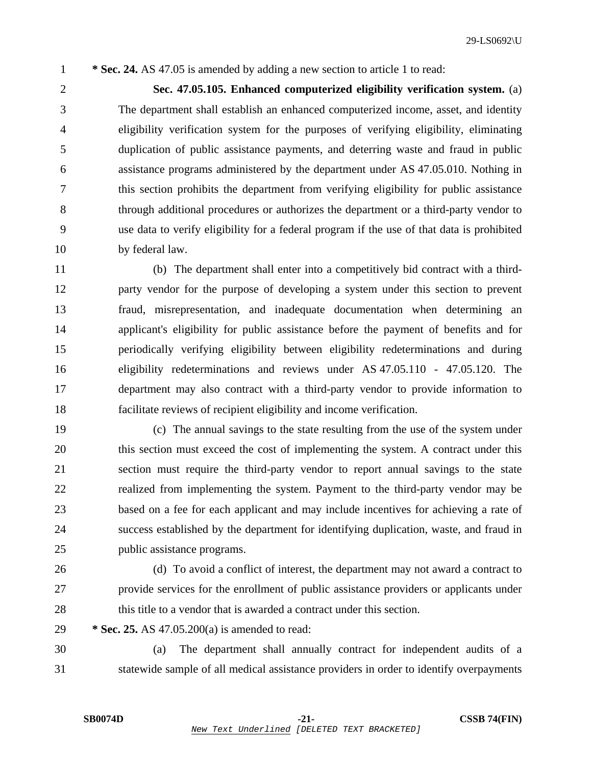1 **\* Sec. 24.** AS 47.05 is amended by adding a new section to article 1 to read:

2 **Sec. 47.05.105. Enhanced computerized eligibility verification system.** (a) 3 The department shall establish an enhanced computerized income, asset, and identity 4 eligibility verification system for the purposes of verifying eligibility, eliminating 5 duplication of public assistance payments, and deterring waste and fraud in public 6 assistance programs administered by the department under AS 47.05.010. Nothing in 7 this section prohibits the department from verifying eligibility for public assistance 8 through additional procedures or authorizes the department or a third-party vendor to 9 use data to verify eligibility for a federal program if the use of that data is prohibited 10 by federal law.

11 (b) The department shall enter into a competitively bid contract with a third-12 party vendor for the purpose of developing a system under this section to prevent 13 fraud, misrepresentation, and inadequate documentation when determining an 14 applicant's eligibility for public assistance before the payment of benefits and for 15 periodically verifying eligibility between eligibility redeterminations and during 16 eligibility redeterminations and reviews under AS 47.05.110 - 47.05.120. The 17 department may also contract with a third-party vendor to provide information to 18 facilitate reviews of recipient eligibility and income verification.

19 (c) The annual savings to the state resulting from the use of the system under 20 this section must exceed the cost of implementing the system. A contract under this 21 section must require the third-party vendor to report annual savings to the state 22 realized from implementing the system. Payment to the third-party vendor may be 23 based on a fee for each applicant and may include incentives for achieving a rate of 24 success established by the department for identifying duplication, waste, and fraud in 25 public assistance programs.

26 (d) To avoid a conflict of interest, the department may not award a contract to 27 provide services for the enrollment of public assistance providers or applicants under 28 this title to a vendor that is awarded a contract under this section.

29 **\* Sec. 25.** AS 47.05.200(a) is amended to read:

30 (a) The department shall annually contract for independent audits of a 31 statewide sample of all medical assistance providers in order to identify overpayments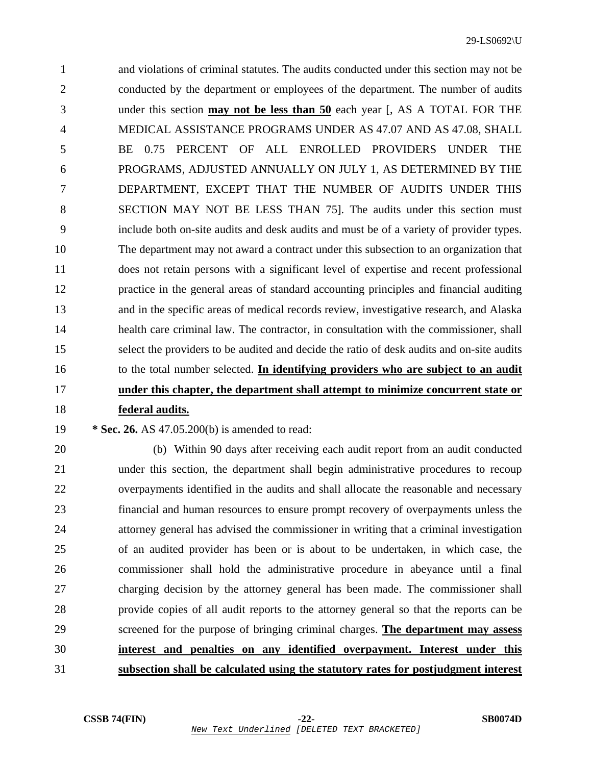1 and violations of criminal statutes. The audits conducted under this section may not be 2 conducted by the department or employees of the department. The number of audits 3 under this section **may not be less than 50** each year [, AS A TOTAL FOR THE 4 MEDICAL ASSISTANCE PROGRAMS UNDER AS 47.07 AND AS 47.08, SHALL 5 BE 0.75 PERCENT OF ALL ENROLLED PROVIDERS UNDER THE 6 PROGRAMS, ADJUSTED ANNUALLY ON JULY 1, AS DETERMINED BY THE 7 DEPARTMENT, EXCEPT THAT THE NUMBER OF AUDITS UNDER THIS 8 SECTION MAY NOT BE LESS THAN 75]. The audits under this section must 9 include both on-site audits and desk audits and must be of a variety of provider types. 10 The department may not award a contract under this subsection to an organization that 11 does not retain persons with a significant level of expertise and recent professional 12 practice in the general areas of standard accounting principles and financial auditing 13 and in the specific areas of medical records review, investigative research, and Alaska 14 health care criminal law. The contractor, in consultation with the commissioner, shall 15 select the providers to be audited and decide the ratio of desk audits and on-site audits 16 to the total number selected. **In identifying providers who are subject to an audit** 17 **under this chapter, the department shall attempt to minimize concurrent state or** 18 **federal audits.**

## 19 **\* Sec. 26.** AS 47.05.200(b) is amended to read:

20 (b) Within 90 days after receiving each audit report from an audit conducted 21 under this section, the department shall begin administrative procedures to recoup 22 overpayments identified in the audits and shall allocate the reasonable and necessary 23 financial and human resources to ensure prompt recovery of overpayments unless the 24 attorney general has advised the commissioner in writing that a criminal investigation 25 of an audited provider has been or is about to be undertaken, in which case, the 26 commissioner shall hold the administrative procedure in abeyance until a final 27 charging decision by the attorney general has been made. The commissioner shall 28 provide copies of all audit reports to the attorney general so that the reports can be 29 screened for the purpose of bringing criminal charges. **The department may assess** 30 **interest and penalties on any identified overpayment. Interest under this** 31 **subsection shall be calculated using the statutory rates for postjudgment interest**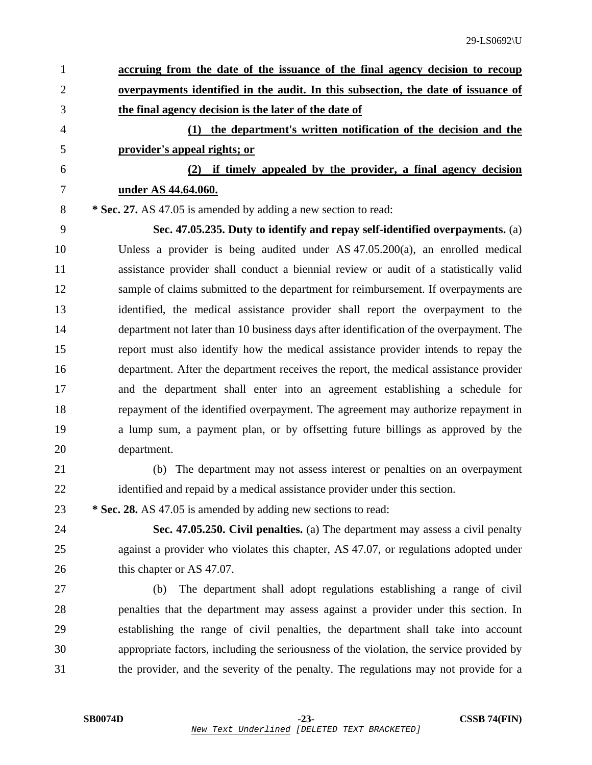| $\mathbf{1}$   | accruing from the date of the issuance of the final agency decision to recoup            |
|----------------|------------------------------------------------------------------------------------------|
| $\overline{2}$ | <u>overpayments identified in the audit. In this subsection, the date of issuance of</u> |
| 3              | the final agency decision is the later of the date of                                    |
| 4              | (1) the department's written notification of the decision and the                        |
| 5              | provider's appeal rights; or                                                             |
| 6              | (2) if timely appealed by the provider, a final agency decision                          |
| $\tau$         | under AS 44.64.060.                                                                      |
| 8              | * Sec. 27. AS 47.05 is amended by adding a new section to read:                          |
| 9              | Sec. 47.05.235. Duty to identify and repay self-identified overpayments. (a)             |
| 10             | Unless a provider is being audited under AS $47.05.200(a)$ , an enrolled medical         |
| 11             | assistance provider shall conduct a biennial review or audit of a statistically valid    |
| 12             | sample of claims submitted to the department for reimbursement. If overpayments are      |
| 13             | identified, the medical assistance provider shall report the overpayment to the          |
| 14             | department not later than 10 business days after identification of the overpayment. The  |
| 15             | report must also identify how the medical assistance provider intends to repay the       |
| 16             | department. After the department receives the report, the medical assistance provider    |
| 17             | and the department shall enter into an agreement establishing a schedule for             |
| 18             | repayment of the identified overpayment. The agreement may authorize repayment in        |
| 19             | a lump sum, a payment plan, or by offsetting future billings as approved by the          |
| 20             | department.                                                                              |
| 21             | (b) The department may not assess interest or penalties on an overpayment                |
| 22             | identified and repaid by a medical assistance provider under this section.               |
| 23             | * Sec. 28. AS 47.05 is amended by adding new sections to read:                           |
| 24             | Sec. 47.05.250. Civil penalties. (a) The department may assess a civil penalty           |
| 25             | against a provider who violates this chapter, AS 47.07, or regulations adopted under     |
| 26             | this chapter or AS 47.07.                                                                |
| 27             | The department shall adopt regulations establishing a range of civil<br>(b)              |
| 28             | penalties that the department may assess against a provider under this section. In       |
| 29             | establishing the range of civil penalties, the department shall take into account        |
| 30             | appropriate factors, including the seriousness of the violation, the service provided by |
| 31             | the provider, and the severity of the penalty. The regulations may not provide for a     |
|                |                                                                                          |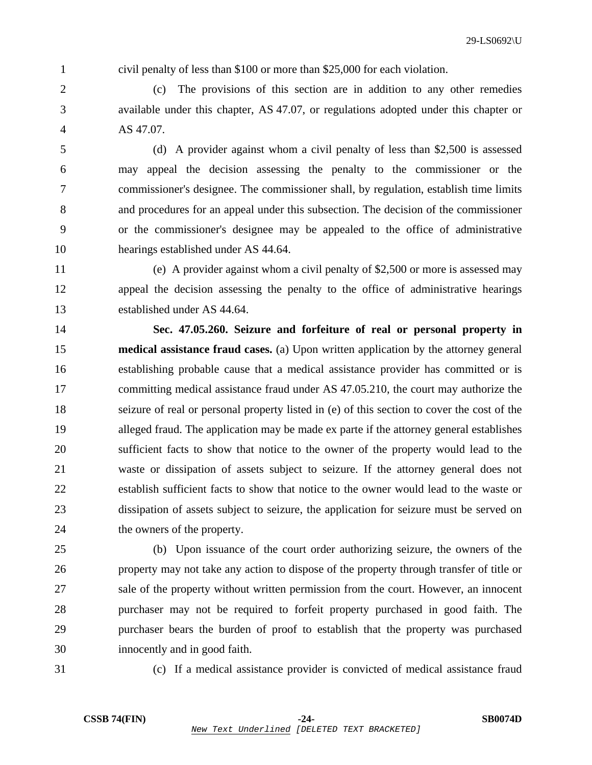1 civil penalty of less than \$100 or more than \$25,000 for each violation.

2 (c) The provisions of this section are in addition to any other remedies 3 available under this chapter, AS 47.07, or regulations adopted under this chapter or 4 AS 47.07.

5 (d) A provider against whom a civil penalty of less than \$2,500 is assessed 6 may appeal the decision assessing the penalty to the commissioner or the 7 commissioner's designee. The commissioner shall, by regulation, establish time limits 8 and procedures for an appeal under this subsection. The decision of the commissioner 9 or the commissioner's designee may be appealed to the office of administrative 10 hearings established under AS 44.64.

11 (e) A provider against whom a civil penalty of \$2,500 or more is assessed may 12 appeal the decision assessing the penalty to the office of administrative hearings 13 established under AS 44.64.

14 **Sec. 47.05.260. Seizure and forfeiture of real or personal property in**  15 **medical assistance fraud cases.** (a) Upon written application by the attorney general 16 establishing probable cause that a medical assistance provider has committed or is 17 committing medical assistance fraud under AS 47.05.210, the court may authorize the 18 seizure of real or personal property listed in (e) of this section to cover the cost of the 19 alleged fraud. The application may be made ex parte if the attorney general establishes 20 sufficient facts to show that notice to the owner of the property would lead to the 21 waste or dissipation of assets subject to seizure. If the attorney general does not 22 establish sufficient facts to show that notice to the owner would lead to the waste or 23 dissipation of assets subject to seizure, the application for seizure must be served on 24 the owners of the property.

25 (b) Upon issuance of the court order authorizing seizure, the owners of the 26 property may not take any action to dispose of the property through transfer of title or 27 sale of the property without written permission from the court. However, an innocent 28 purchaser may not be required to forfeit property purchased in good faith. The 29 purchaser bears the burden of proof to establish that the property was purchased 30 innocently and in good faith.

31 (c) If a medical assistance provider is convicted of medical assistance fraud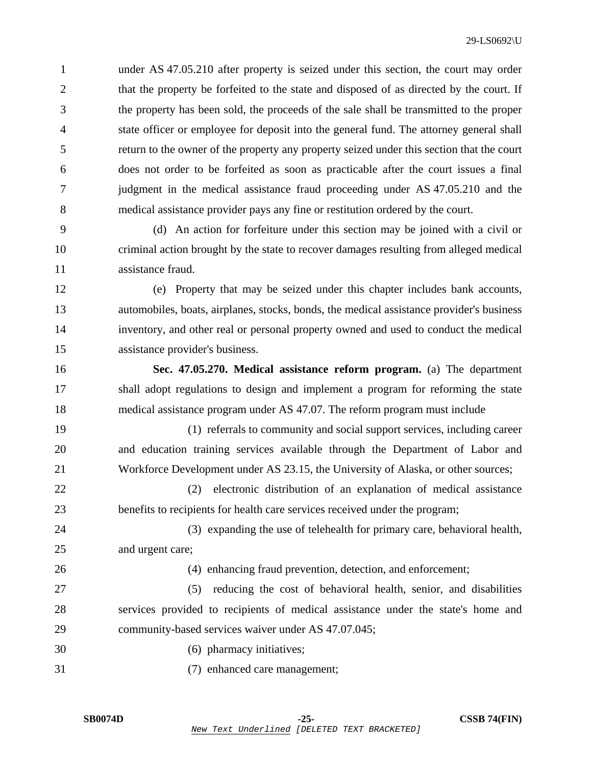1 under AS 47.05.210 after property is seized under this section, the court may order 2 that the property be forfeited to the state and disposed of as directed by the court. If 3 the property has been sold, the proceeds of the sale shall be transmitted to the proper 4 state officer or employee for deposit into the general fund. The attorney general shall 5 return to the owner of the property any property seized under this section that the court 6 does not order to be forfeited as soon as practicable after the court issues a final 7 judgment in the medical assistance fraud proceeding under AS 47.05.210 and the 8 medical assistance provider pays any fine or restitution ordered by the court.

9 (d) An action for forfeiture under this section may be joined with a civil or 10 criminal action brought by the state to recover damages resulting from alleged medical 11 assistance fraud.

12 (e) Property that may be seized under this chapter includes bank accounts, 13 automobiles, boats, airplanes, stocks, bonds, the medical assistance provider's business 14 inventory, and other real or personal property owned and used to conduct the medical 15 assistance provider's business.

16 **Sec. 47.05.270. Medical assistance reform program.** (a) The department 17 shall adopt regulations to design and implement a program for reforming the state 18 medical assistance program under AS 47.07. The reform program must include

19 (1) referrals to community and social support services, including career 20 and education training services available through the Department of Labor and 21 Workforce Development under AS 23.15, the University of Alaska, or other sources;

22 (2) electronic distribution of an explanation of medical assistance 23 benefits to recipients for health care services received under the program;

24 (3) expanding the use of telehealth for primary care, behavioral health, 25 and urgent care;

26 (4) enhancing fraud prevention, detection, and enforcement;

27 (5) reducing the cost of behavioral health, senior, and disabilities 28 services provided to recipients of medical assistance under the state's home and 29 community-based services waiver under AS 47.07.045;

- 30 (6) pharmacy initiatives;
- 31 (7) enhanced care management;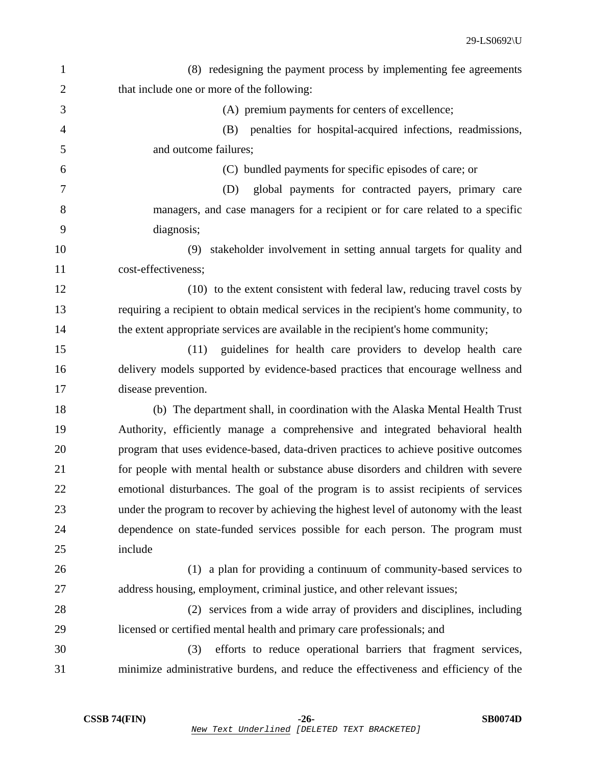| $\mathbf{1}$   | (8) redesigning the payment process by implementing fee agreements                     |
|----------------|----------------------------------------------------------------------------------------|
| $\overline{2}$ | that include one or more of the following:                                             |
| 3              | (A) premium payments for centers of excellence;                                        |
| 4              | penalties for hospital-acquired infections, readmissions,<br>(B)                       |
| 5              | and outcome failures;                                                                  |
| 6              | (C) bundled payments for specific episodes of care; or                                 |
| 7              | global payments for contracted payers, primary care<br>(D)                             |
| 8              | managers, and case managers for a recipient or for care related to a specific          |
| 9              | diagnosis;                                                                             |
| 10             | stakeholder involvement in setting annual targets for quality and<br>(9)               |
| 11             | cost-effectiveness;                                                                    |
| 12             | (10) to the extent consistent with federal law, reducing travel costs by               |
| 13             | requiring a recipient to obtain medical services in the recipient's home community, to |
| 14             | the extent appropriate services are available in the recipient's home community;       |
| 15             | guidelines for health care providers to develop health care<br>(11)                    |
| 16             | delivery models supported by evidence-based practices that encourage wellness and      |
| 17             | disease prevention.                                                                    |
| 18             | (b) The department shall, in coordination with the Alaska Mental Health Trust          |
| 19             | Authority, efficiently manage a comprehensive and integrated behavioral health         |
| 20             | program that uses evidence-based, data-driven practices to achieve positive outcomes   |
| 21             | for people with mental health or substance abuse disorders and children with severe    |
| 22             | emotional disturbances. The goal of the program is to assist recipients of services    |
| 23             | under the program to recover by achieving the highest level of autonomy with the least |
| 24             | dependence on state-funded services possible for each person. The program must         |
| 25             | include                                                                                |
| 26             | (1) a plan for providing a continuum of community-based services to                    |
| 27             | address housing, employment, criminal justice, and other relevant issues;              |
| 28             | (2) services from a wide array of providers and disciplines, including                 |
| 29             | licensed or certified mental health and primary care professionals; and                |
| 30             | efforts to reduce operational barriers that fragment services,<br>(3)                  |
| 31             | minimize administrative burdens, and reduce the effectiveness and efficiency of the    |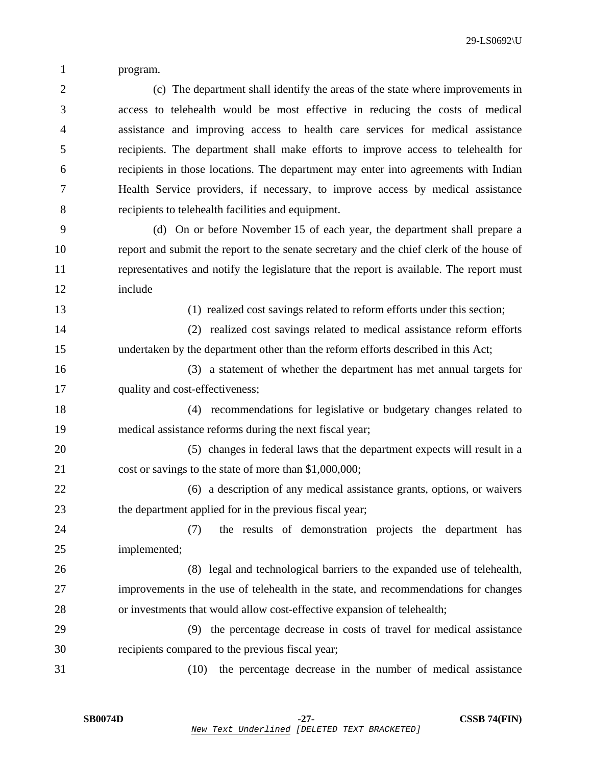1 program.

2 (c) The department shall identify the areas of the state where improvements in 3 access to telehealth would be most effective in reducing the costs of medical 4 assistance and improving access to health care services for medical assistance 5 recipients. The department shall make efforts to improve access to telehealth for 6 recipients in those locations. The department may enter into agreements with Indian 7 Health Service providers, if necessary, to improve access by medical assistance 8 recipients to telehealth facilities and equipment.

9 (d) On or before November 15 of each year, the department shall prepare a 10 report and submit the report to the senate secretary and the chief clerk of the house of 11 representatives and notify the legislature that the report is available. The report must 12 include

13 (1) realized cost savings related to reform efforts under this section;

14 (2) realized cost savings related to medical assistance reform efforts 15 undertaken by the department other than the reform efforts described in this Act;

16 (3) a statement of whether the department has met annual targets for 17 quality and cost-effectiveness;

18 (4) recommendations for legislative or budgetary changes related to 19 medical assistance reforms during the next fiscal year;

20 (5) changes in federal laws that the department expects will result in a 21 cost or savings to the state of more than \$1,000,000;

22 (6) a description of any medical assistance grants, options, or waivers 23 the department applied for in the previous fiscal year;

24 (7) the results of demonstration projects the department has 25 implemented;

26 (8) legal and technological barriers to the expanded use of telehealth, 27 improvements in the use of telehealth in the state, and recommendations for changes 28 or investments that would allow cost-effective expansion of telehealth;

29 (9) the percentage decrease in costs of travel for medical assistance 30 recipients compared to the previous fiscal year;

31 (10) the percentage decrease in the number of medical assistance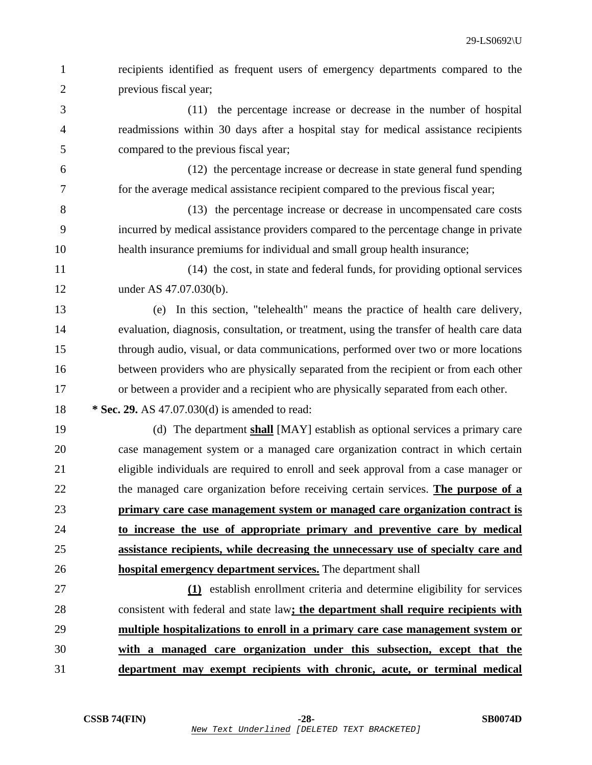| $\mathbf{1}$   | recipients identified as frequent users of emergency departments compared to the          |
|----------------|-------------------------------------------------------------------------------------------|
| $\overline{2}$ | previous fiscal year;                                                                     |
| 3              | (11) the percentage increase or decrease in the number of hospital                        |
| $\overline{4}$ | readmissions within 30 days after a hospital stay for medical assistance recipients       |
| 5              | compared to the previous fiscal year;                                                     |
| 6              | (12) the percentage increase or decrease in state general fund spending                   |
| 7              | for the average medical assistance recipient compared to the previous fiscal year;        |
| 8              | (13) the percentage increase or decrease in uncompensated care costs                      |
| 9              | incurred by medical assistance providers compared to the percentage change in private     |
| 10             | health insurance premiums for individual and small group health insurance;                |
| 11             | (14) the cost, in state and federal funds, for providing optional services                |
| 12             | under AS 47.07.030(b).                                                                    |
| 13             | In this section, "telehealth" means the practice of health care delivery,<br>(e)          |
| 14             | evaluation, diagnosis, consultation, or treatment, using the transfer of health care data |
| 15             | through audio, visual, or data communications, performed over two or more locations       |
| 16             | between providers who are physically separated from the recipient or from each other      |
| 17             | or between a provider and a recipient who are physically separated from each other.       |
| 18             | * Sec. 29. AS 47.07.030(d) is amended to read:                                            |
| 19             | (d) The department shall [MAY] establish as optional services a primary care              |
| 20             | case management system or a managed care organization contract in which certain           |
| 21             | eligible individuals are required to enroll and seek approval from a case manager or      |
| $22\,$         | the managed care organization before receiving certain services. The purpose of a         |
| 23             | primary care case management system or managed care organization contract is              |
| 24             | to increase the use of appropriate primary and preventive care by medical                 |
| 25             | assistance recipients, while decreasing the unnecessary use of specialty care and         |
| 26             | hospital emergency department services. The department shall                              |
| 27             | (1) establish enrollment criteria and determine eligibility for services                  |
| 28             | consistent with federal and state law; the department shall require recipients with       |
| 29             | multiple hospitalizations to enroll in a primary care case management system or           |
| 30             | with a managed care organization under this subsection, except that the                   |
| 31             | department may exempt recipients with chronic, acute, or terminal medical                 |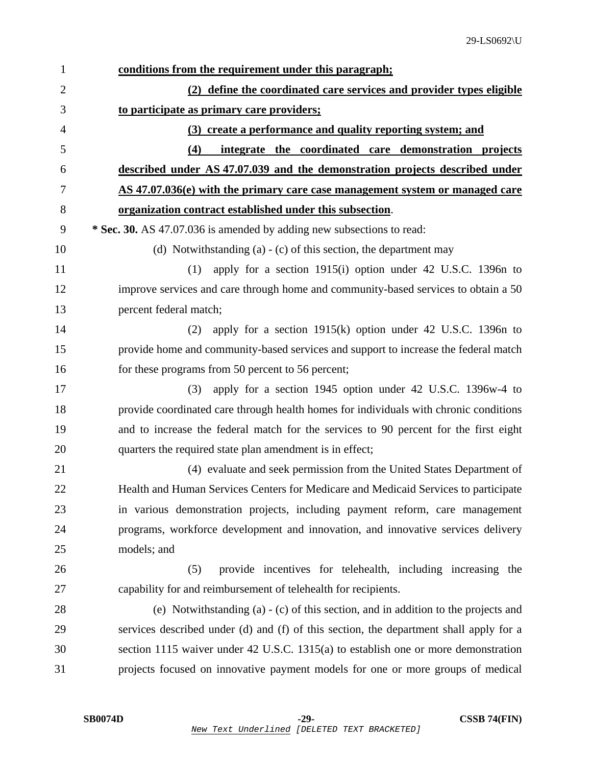| $\mathbf{1}$   | conditions from the requirement under this paragraph;                                  |
|----------------|----------------------------------------------------------------------------------------|
| $\overline{2}$ | (2) define the coordinated care services and provider types eligible                   |
| 3              | to participate as primary care providers;                                              |
| $\overline{4}$ | (3) create a performance and quality reporting system; and                             |
| 5              | integrate the coordinated care demonstration projects<br>(4)                           |
| 6              | described under AS 47.07.039 and the demonstration projects described under            |
| 7              | AS 47.07.036(e) with the primary care case management system or managed care           |
| 8              | organization contract established under this subsection.                               |
| 9              | * Sec. 30. AS 47.07.036 is amended by adding new subsections to read:                  |
| 10             | (d) Notwithstanding (a) $-$ (c) of this section, the department may                    |
| 11             | apply for a section 1915(i) option under 42 U.S.C. 1396n to<br>(1)                     |
| 12             | improve services and care through home and community-based services to obtain a 50     |
| 13             | percent federal match;                                                                 |
| 14             | apply for a section $1915(k)$ option under 42 U.S.C. 1396n to<br>(2)                   |
| 15             | provide home and community-based services and support to increase the federal match    |
| 16             | for these programs from 50 percent to 56 percent;                                      |
| 17             | apply for a section 1945 option under 42 U.S.C. 1396w-4 to<br>(3)                      |
| 18             | provide coordinated care through health homes for individuals with chronic conditions  |
| 19             | and to increase the federal match for the services to 90 percent for the first eight   |
| 20             | quarters the required state plan amendment is in effect;                               |
| 21             | (4) evaluate and seek permission from the United States Department of                  |
| 22             | Health and Human Services Centers for Medicare and Medicaid Services to participate    |
| 23             | in various demonstration projects, including payment reform, care management           |
| 24             | programs, workforce development and innovation, and innovative services delivery       |
| 25             | models; and                                                                            |
| 26             | provide incentives for telehealth, including increasing the<br>(5)                     |
| 27             | capability for and reimbursement of telehealth for recipients.                         |
| 28             | (e) Notwithstanding (a) - (c) of this section, and in addition to the projects and     |
| 29             | services described under (d) and (f) of this section, the department shall apply for a |
| 30             | section 1115 waiver under 42 U.S.C. 1315(a) to establish one or more demonstration     |
| 31             | projects focused on innovative payment models for one or more groups of medical        |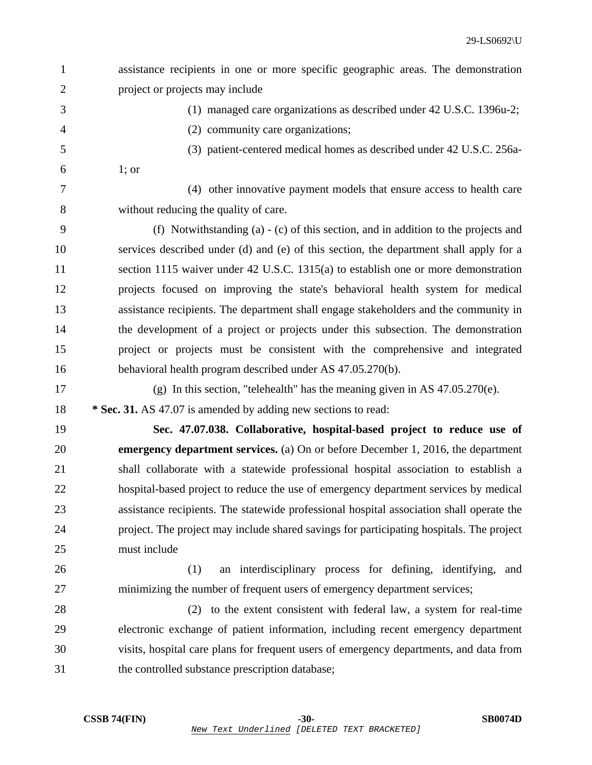| $\mathbf{1}$   | assistance recipients in one or more specific geographic areas. The demonstration        |
|----------------|------------------------------------------------------------------------------------------|
| $\overline{2}$ | project or projects may include                                                          |
| 3              | (1) managed care organizations as described under 42 U.S.C. 1396u-2;                     |
| $\overline{4}$ | (2) community care organizations;                                                        |
| 5              | (3) patient-centered medical homes as described under 42 U.S.C. 256a-                    |
| 6              | $1;$ or                                                                                  |
| $\tau$         | (4) other innovative payment models that ensure access to health care                    |
| 8              | without reducing the quality of care.                                                    |
| 9              | (f) Notwithstanding (a) $-$ (c) of this section, and in addition to the projects and     |
| 10             | services described under (d) and (e) of this section, the department shall apply for a   |
| 11             | section 1115 waiver under 42 U.S.C. 1315(a) to establish one or more demonstration       |
| 12             | projects focused on improving the state's behavioral health system for medical           |
| 13             | assistance recipients. The department shall engage stakeholders and the community in     |
| 14             | the development of a project or projects under this subsection. The demonstration        |
| 15             | project or projects must be consistent with the comprehensive and integrated             |
| 16             | behavioral health program described under AS 47.05.270(b).                               |
|                |                                                                                          |
| 17             | (g) In this section, "telehealth" has the meaning given in AS $47.05.270(e)$ .           |
| 18             | * Sec. 31. AS 47.07 is amended by adding new sections to read:                           |
| 19             | Sec. 47.07.038. Collaborative, hospital-based project to reduce use of                   |
| 20             | emergency department services. (a) On or before December 1, 2016, the department         |
| 21             | shall collaborate with a statewide professional hospital association to establish a      |
| 22             | hospital-based project to reduce the use of emergency department services by medical     |
| 23             | assistance recipients. The statewide professional hospital association shall operate the |
| 24             | project. The project may include shared savings for participating hospitals. The project |
| 25             | must include                                                                             |
| 26             | (1)<br>an interdisciplinary process for defining, identifying, and                       |
| 27             | minimizing the number of frequent users of emergency department services;                |
| 28             | (2) to the extent consistent with federal law, a system for real-time                    |
| 29             | electronic exchange of patient information, including recent emergency department        |
| 30             | visits, hospital care plans for frequent users of emergency departments, and data from   |
| 31             | the controlled substance prescription database;                                          |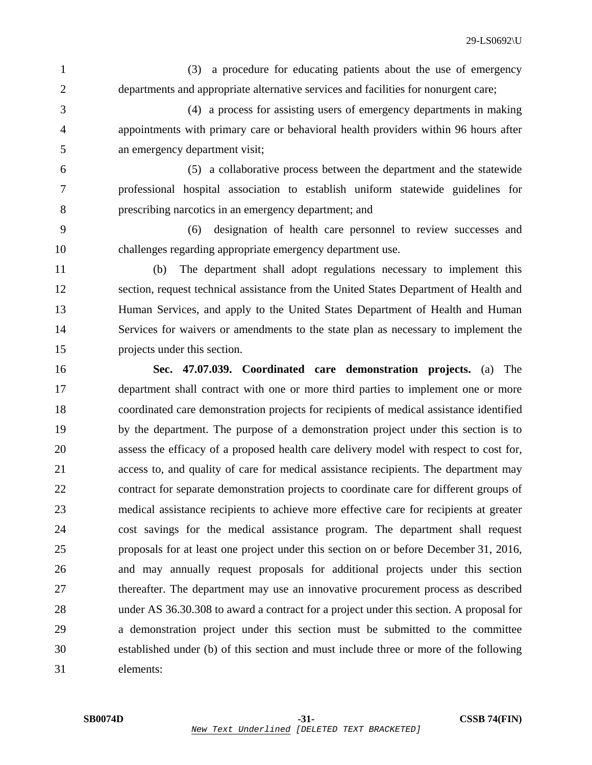1 (3) a procedure for educating patients about the use of emergency 2 departments and appropriate alternative services and facilities for nonurgent care;

3 (4) a process for assisting users of emergency departments in making 4 appointments with primary care or behavioral health providers within 96 hours after 5 an emergency department visit;

6 (5) a collaborative process between the department and the statewide 7 professional hospital association to establish uniform statewide guidelines for 8 prescribing narcotics in an emergency department; and

9 (6) designation of health care personnel to review successes and 10 challenges regarding appropriate emergency department use.

11 (b) The department shall adopt regulations necessary to implement this 12 section, request technical assistance from the United States Department of Health and 13 Human Services, and apply to the United States Department of Health and Human 14 Services for waivers or amendments to the state plan as necessary to implement the 15 projects under this section.

16 **Sec. 47.07.039. Coordinated care demonstration projects.** (a) The 17 department shall contract with one or more third parties to implement one or more 18 coordinated care demonstration projects for recipients of medical assistance identified 19 by the department. The purpose of a demonstration project under this section is to 20 assess the efficacy of a proposed health care delivery model with respect to cost for, 21 access to, and quality of care for medical assistance recipients. The department may 22 contract for separate demonstration projects to coordinate care for different groups of 23 medical assistance recipients to achieve more effective care for recipients at greater 24 cost savings for the medical assistance program. The department shall request 25 proposals for at least one project under this section on or before December 31, 2016, 26 and may annually request proposals for additional projects under this section 27 thereafter. The department may use an innovative procurement process as described 28 under AS 36.30.308 to award a contract for a project under this section. A proposal for 29 a demonstration project under this section must be submitted to the committee 30 established under (b) of this section and must include three or more of the following 31 elements: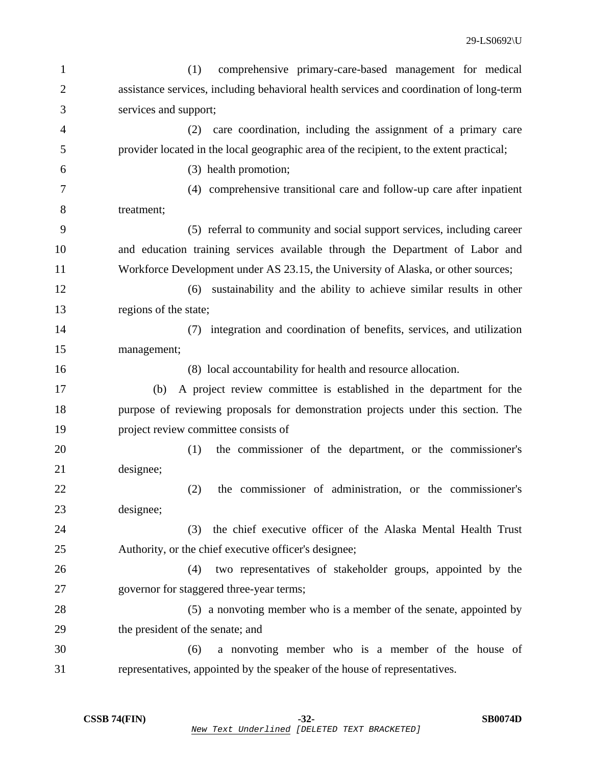| 1              | (1)<br>comprehensive primary-care-based management for medical                           |
|----------------|------------------------------------------------------------------------------------------|
| $\overline{2}$ | assistance services, including behavioral health services and coordination of long-term  |
| 3              | services and support;                                                                    |
| $\overline{4}$ | care coordination, including the assignment of a primary care<br>(2)                     |
| 5              | provider located in the local geographic area of the recipient, to the extent practical; |
| 6              | (3) health promotion;                                                                    |
| 7              | (4) comprehensive transitional care and follow-up care after inpatient                   |
| 8              | treatment;                                                                               |
| 9              | (5) referral to community and social support services, including career                  |
| 10             | and education training services available through the Department of Labor and            |
| 11             | Workforce Development under AS 23.15, the University of Alaska, or other sources;        |
| 12             | sustainability and the ability to achieve similar results in other<br>(6)                |
| 13             | regions of the state;                                                                    |
| 14             | integration and coordination of benefits, services, and utilization<br>(7)               |
| 15             | management;                                                                              |
| 16             | (8) local accountability for health and resource allocation.                             |
| 17             | A project review committee is established in the department for the<br>(b)               |
| 18             | purpose of reviewing proposals for demonstration projects under this section. The        |
| 19             | project review committee consists of                                                     |
| 20             | (1)<br>the commissioner of the department, or the commissioner's                         |
| 21             | designee;                                                                                |
| 22             | the commissioner of administration, or the commissioner's<br>(2)                         |
| 23             | designee;                                                                                |
| 24             | the chief executive officer of the Alaska Mental Health Trust<br>(3)                     |
| 25             | Authority, or the chief executive officer's designee;                                    |
| 26             | two representatives of stakeholder groups, appointed by the<br>(4)                       |
| 27             | governor for staggered three-year terms;                                                 |
| 28             | (5) a nonvoting member who is a member of the senate, appointed by                       |
| 29             | the president of the senate; and                                                         |
| 30             | a nonvoting member who is a member of the house of<br>(6)                                |
| 31             | representatives, appointed by the speaker of the house of representatives.               |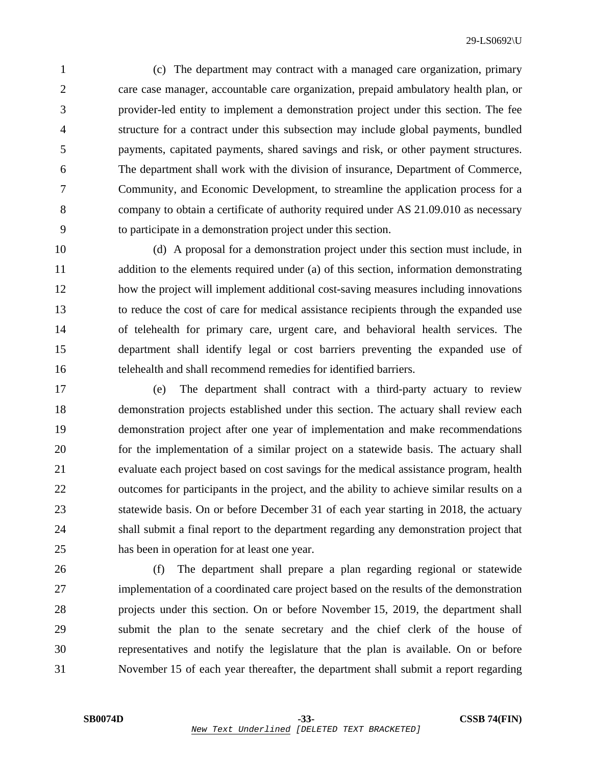1 (c) The department may contract with a managed care organization, primary 2 care case manager, accountable care organization, prepaid ambulatory health plan, or 3 provider-led entity to implement a demonstration project under this section. The fee 4 structure for a contract under this subsection may include global payments, bundled 5 payments, capitated payments, shared savings and risk, or other payment structures. 6 The department shall work with the division of insurance, Department of Commerce, 7 Community, and Economic Development, to streamline the application process for a 8 company to obtain a certificate of authority required under AS 21.09.010 as necessary 9 to participate in a demonstration project under this section.

10 (d) A proposal for a demonstration project under this section must include, in 11 addition to the elements required under (a) of this section, information demonstrating 12 how the project will implement additional cost-saving measures including innovations 13 to reduce the cost of care for medical assistance recipients through the expanded use 14 of telehealth for primary care, urgent care, and behavioral health services. The 15 department shall identify legal or cost barriers preventing the expanded use of 16 telehealth and shall recommend remedies for identified barriers.

17 (e) The department shall contract with a third-party actuary to review 18 demonstration projects established under this section. The actuary shall review each 19 demonstration project after one year of implementation and make recommendations 20 for the implementation of a similar project on a statewide basis. The actuary shall 21 evaluate each project based on cost savings for the medical assistance program, health 22 outcomes for participants in the project, and the ability to achieve similar results on a 23 statewide basis. On or before December 31 of each year starting in 2018, the actuary 24 shall submit a final report to the department regarding any demonstration project that 25 has been in operation for at least one year.

26 (f) The department shall prepare a plan regarding regional or statewide 27 implementation of a coordinated care project based on the results of the demonstration 28 projects under this section. On or before November 15, 2019, the department shall 29 submit the plan to the senate secretary and the chief clerk of the house of 30 representatives and notify the legislature that the plan is available. On or before 31 November 15 of each year thereafter, the department shall submit a report regarding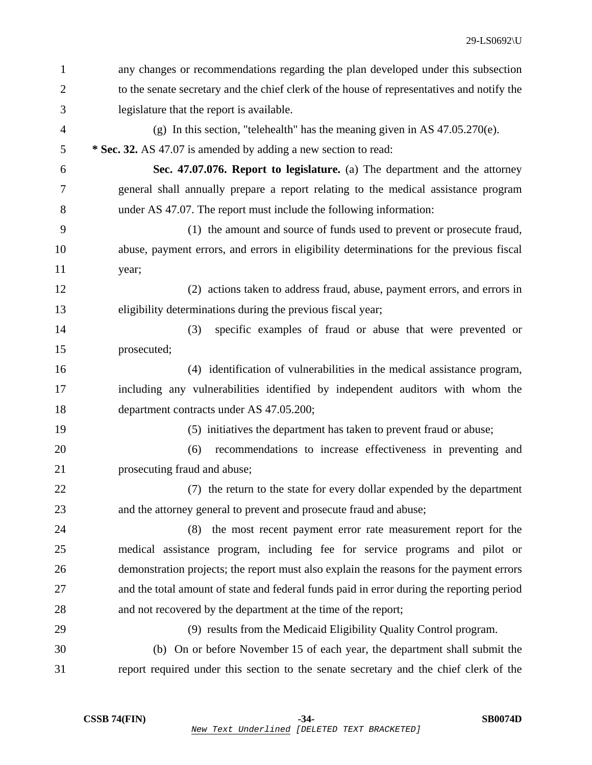| 1              | any changes or recommendations regarding the plan developed under this subsection          |
|----------------|--------------------------------------------------------------------------------------------|
| $\overline{2}$ | to the senate secretary and the chief clerk of the house of representatives and notify the |
| 3              | legislature that the report is available.                                                  |
| 4              | (g) In this section, "telehealth" has the meaning given in AS $47.05.270(e)$ .             |
| 5              | * Sec. 32. AS 47.07 is amended by adding a new section to read:                            |
| 6              | Sec. 47.07.076. Report to legislature. (a) The department and the attorney                 |
| 7              | general shall annually prepare a report relating to the medical assistance program         |
| 8              | under AS 47.07. The report must include the following information:                         |
| 9              | (1) the amount and source of funds used to prevent or prosecute fraud,                     |
| 10             | abuse, payment errors, and errors in eligibility determinations for the previous fiscal    |
| 11             | year;                                                                                      |
| 12             | (2) actions taken to address fraud, abuse, payment errors, and errors in                   |
| 13             | eligibility determinations during the previous fiscal year;                                |
| 14             | specific examples of fraud or abuse that were prevented or<br>(3)                          |
| 15             | prosecuted;                                                                                |
| 16             | (4) identification of vulnerabilities in the medical assistance program,                   |
| 17             | including any vulnerabilities identified by independent auditors with whom the             |
| 18             | department contracts under AS 47.05.200;                                                   |
| 19             | (5) initiatives the department has taken to prevent fraud or abuse;                        |
| 20             | recommendations to increase effectiveness in preventing and<br>(6)                         |
| 21             | prosecuting fraud and abuse;                                                               |
| 22             | (7) the return to the state for every dollar expended by the department                    |
| 23             | and the attorney general to prevent and prosecute fraud and abuse;                         |
| 24             | the most recent payment error rate measurement report for the<br>(8)                       |
| 25             | medical assistance program, including fee for service programs and pilot or                |
| 26             | demonstration projects; the report must also explain the reasons for the payment errors    |
| 27             | and the total amount of state and federal funds paid in error during the reporting period  |
| 28             | and not recovered by the department at the time of the report;                             |
| 29             | (9) results from the Medicaid Eligibility Quality Control program.                         |
| 30             | (b) On or before November 15 of each year, the department shall submit the                 |
| 31             | report required under this section to the senate secretary and the chief clerk of the      |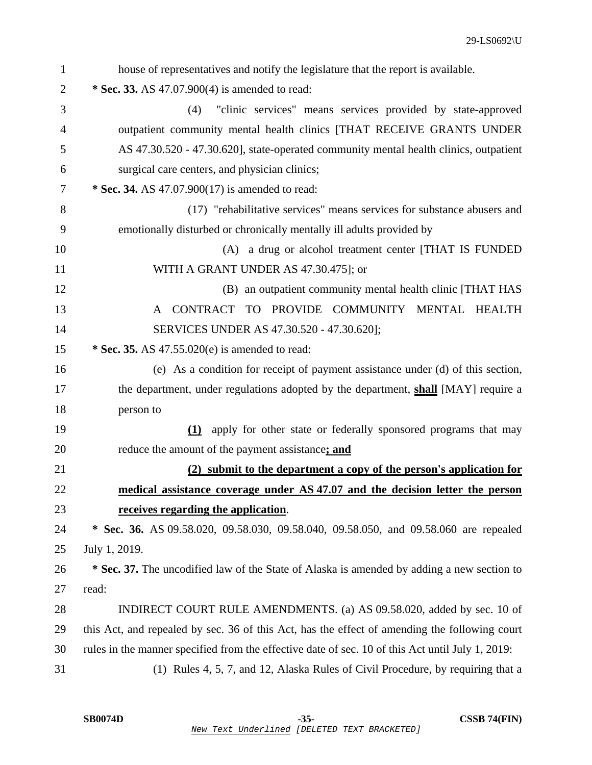| $\mathbf{1}$   | house of representatives and notify the legislature that the report is available.                |
|----------------|--------------------------------------------------------------------------------------------------|
| $\overline{2}$ | * Sec. 33. AS 47.07.900(4) is amended to read:                                                   |
| 3              | "clinic services" means services provided by state-approved<br>(4)                               |
| $\overline{4}$ | outpatient community mental health clinics [THAT RECEIVE GRANTS UNDER                            |
| 5              | AS 47.30.520 - 47.30.620], state-operated community mental health clinics, outpatient            |
| 6              | surgical care centers, and physician clinics;                                                    |
| 7              | * Sec. 34. AS 47.07.900(17) is amended to read:                                                  |
| 8              | (17) "rehabilitative services" means services for substance abusers and                          |
| 9              | emotionally disturbed or chronically mentally ill adults provided by                             |
| 10             | (A) a drug or alcohol treatment center [THAT IS FUNDED                                           |
| 11             | WITH A GRANT UNDER AS 47.30.475]; or                                                             |
| 12             | (B) an outpatient community mental health clinic [THAT HAS                                       |
| 13             | CONTRACT TO PROVIDE COMMUNITY MENTAL HEALTH<br>A                                                 |
| 14             | SERVICES UNDER AS 47.30.520 - 47.30.620];                                                        |
| 15             | * Sec. 35. AS 47.55.020(e) is amended to read:                                                   |
| 16             | (e) As a condition for receipt of payment assistance under (d) of this section,                  |
| 17             | the department, under regulations adopted by the department, shall [MAY] require a               |
| 18             | person to                                                                                        |
| 19             | (1) apply for other state or federally sponsored programs that may                               |
| 20             | reduce the amount of the payment assistance; and                                                 |
| 21             | (2) submit to the department a copy of the person's application for                              |
| 22             | medical assistance coverage under AS 47.07 and the decision letter the person                    |
| 23             | receives regarding the application.                                                              |
| 24             | * Sec. 36. AS 09.58.020, 09.58.030, 09.58.040, 09.58.050, and 09.58.060 are repealed             |
| 25             | July 1, 2019.                                                                                    |
| 26             | * Sec. 37. The uncodified law of the State of Alaska is amended by adding a new section to       |
| 27             | read:                                                                                            |
| 28             | INDIRECT COURT RULE AMENDMENTS. (a) AS 09.58.020, added by sec. 10 of                            |
| 29             | this Act, and repealed by sec. 36 of this Act, has the effect of amending the following court    |
| 30             | rules in the manner specified from the effective date of sec. 10 of this Act until July 1, 2019: |
| 31             | (1) Rules 4, 5, 7, and 12, Alaska Rules of Civil Procedure, by requiring that a                  |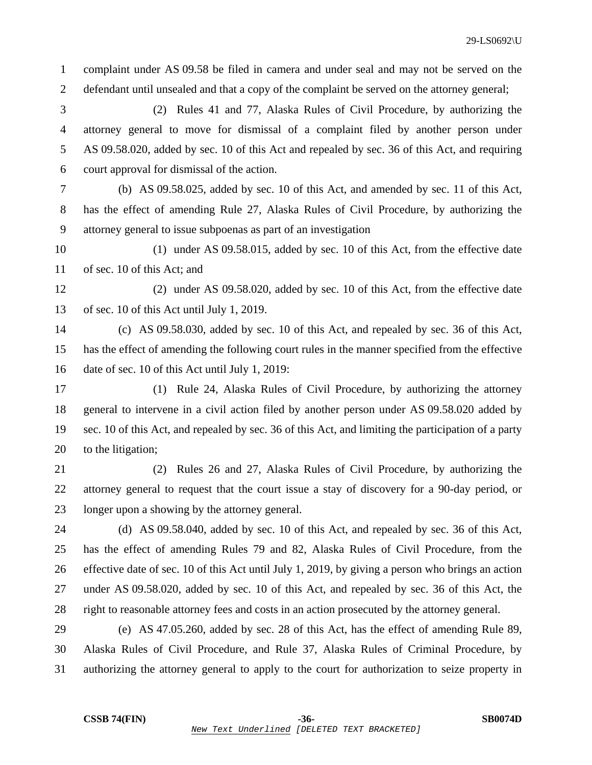1 complaint under AS 09.58 be filed in camera and under seal and may not be served on the 2 defendant until unsealed and that a copy of the complaint be served on the attorney general;

3 (2) Rules 41 and 77, Alaska Rules of Civil Procedure, by authorizing the 4 attorney general to move for dismissal of a complaint filed by another person under 5 AS 09.58.020, added by sec. 10 of this Act and repealed by sec. 36 of this Act, and requiring 6 court approval for dismissal of the action.

7 (b) AS 09.58.025, added by sec. 10 of this Act, and amended by sec. 11 of this Act, 8 has the effect of amending Rule 27, Alaska Rules of Civil Procedure, by authorizing the 9 attorney general to issue subpoenas as part of an investigation

10 (1) under AS 09.58.015, added by sec. 10 of this Act, from the effective date 11 of sec. 10 of this Act; and

12 (2) under AS 09.58.020, added by sec. 10 of this Act, from the effective date 13 of sec. 10 of this Act until July 1, 2019.

14 (c) AS 09.58.030, added by sec. 10 of this Act, and repealed by sec. 36 of this Act, 15 has the effect of amending the following court rules in the manner specified from the effective 16 date of sec. 10 of this Act until July 1, 2019:

17 (1) Rule 24, Alaska Rules of Civil Procedure, by authorizing the attorney 18 general to intervene in a civil action filed by another person under AS 09.58.020 added by 19 sec. 10 of this Act, and repealed by sec. 36 of this Act, and limiting the participation of a party 20 to the litigation;

21 (2) Rules 26 and 27, Alaska Rules of Civil Procedure, by authorizing the 22 attorney general to request that the court issue a stay of discovery for a 90-day period, or 23 longer upon a showing by the attorney general.

24 (d) AS 09.58.040, added by sec. 10 of this Act, and repealed by sec. 36 of this Act, 25 has the effect of amending Rules 79 and 82, Alaska Rules of Civil Procedure, from the 26 effective date of sec. 10 of this Act until July 1, 2019, by giving a person who brings an action 27 under AS 09.58.020, added by sec. 10 of this Act, and repealed by sec. 36 of this Act, the 28 right to reasonable attorney fees and costs in an action prosecuted by the attorney general.

29 (e) AS 47.05.260, added by sec. 28 of this Act, has the effect of amending Rule 89, 30 Alaska Rules of Civil Procedure, and Rule 37, Alaska Rules of Criminal Procedure, by 31 authorizing the attorney general to apply to the court for authorization to seize property in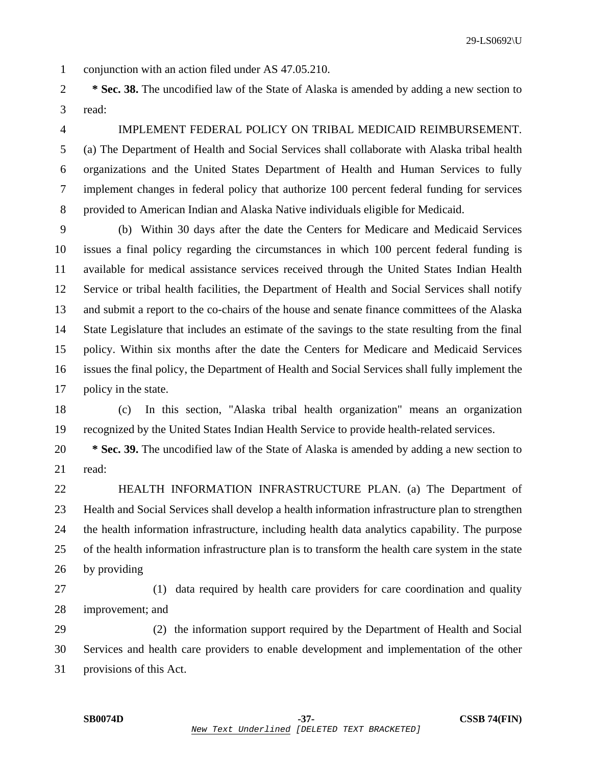29-LS0692\U

1 conjunction with an action filed under AS 47.05.210.

2 **\* Sec. 38.** The uncodified law of the State of Alaska is amended by adding a new section to 3 read:

# 4 IMPLEMENT FEDERAL POLICY ON TRIBAL MEDICAID REIMBURSEMENT.

5 (a) The Department of Health and Social Services shall collaborate with Alaska tribal health 6 organizations and the United States Department of Health and Human Services to fully 7 implement changes in federal policy that authorize 100 percent federal funding for services 8 provided to American Indian and Alaska Native individuals eligible for Medicaid.

9 (b) Within 30 days after the date the Centers for Medicare and Medicaid Services 10 issues a final policy regarding the circumstances in which 100 percent federal funding is 11 available for medical assistance services received through the United States Indian Health 12 Service or tribal health facilities, the Department of Health and Social Services shall notify 13 and submit a report to the co-chairs of the house and senate finance committees of the Alaska 14 State Legislature that includes an estimate of the savings to the state resulting from the final 15 policy. Within six months after the date the Centers for Medicare and Medicaid Services 16 issues the final policy, the Department of Health and Social Services shall fully implement the 17 policy in the state.

18 (c) In this section, "Alaska tribal health organization" means an organization 19 recognized by the United States Indian Health Service to provide health-related services.

20 **\* Sec. 39.** The uncodified law of the State of Alaska is amended by adding a new section to 21 read:

22 HEALTH INFORMATION INFRASTRUCTURE PLAN. (a) The Department of 23 Health and Social Services shall develop a health information infrastructure plan to strengthen 24 the health information infrastructure, including health data analytics capability. The purpose 25 of the health information infrastructure plan is to transform the health care system in the state 26 by providing

27 (1) data required by health care providers for care coordination and quality 28 improvement; and

29 (2) the information support required by the Department of Health and Social 30 Services and health care providers to enable development and implementation of the other 31 provisions of this Act.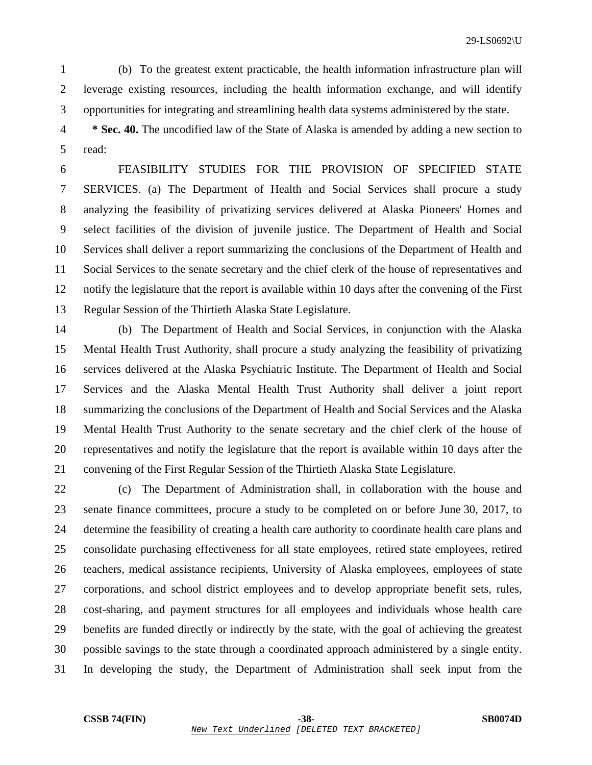1 (b) To the greatest extent practicable, the health information infrastructure plan will 2 leverage existing resources, including the health information exchange, and will identify 3 opportunities for integrating and streamlining health data systems administered by the state.

4 **\* Sec. 40.** The uncodified law of the State of Alaska is amended by adding a new section to 5 read:

6 FEASIBILITY STUDIES FOR THE PROVISION OF SPECIFIED STATE 7 SERVICES. (a) The Department of Health and Social Services shall procure a study 8 analyzing the feasibility of privatizing services delivered at Alaska Pioneers' Homes and 9 select facilities of the division of juvenile justice. The Department of Health and Social 10 Services shall deliver a report summarizing the conclusions of the Department of Health and 11 Social Services to the senate secretary and the chief clerk of the house of representatives and 12 notify the legislature that the report is available within 10 days after the convening of the First 13 Regular Session of the Thirtieth Alaska State Legislature.

14 (b) The Department of Health and Social Services, in conjunction with the Alaska 15 Mental Health Trust Authority, shall procure a study analyzing the feasibility of privatizing 16 services delivered at the Alaska Psychiatric Institute. The Department of Health and Social 17 Services and the Alaska Mental Health Trust Authority shall deliver a joint report 18 summarizing the conclusions of the Department of Health and Social Services and the Alaska 19 Mental Health Trust Authority to the senate secretary and the chief clerk of the house of 20 representatives and notify the legislature that the report is available within 10 days after the 21 convening of the First Regular Session of the Thirtieth Alaska State Legislature.

22 (c) The Department of Administration shall, in collaboration with the house and 23 senate finance committees, procure a study to be completed on or before June 30, 2017, to 24 determine the feasibility of creating a health care authority to coordinate health care plans and 25 consolidate purchasing effectiveness for all state employees, retired state employees, retired 26 teachers, medical assistance recipients, University of Alaska employees, employees of state 27 corporations, and school district employees and to develop appropriate benefit sets, rules, 28 cost-sharing, and payment structures for all employees and individuals whose health care 29 benefits are funded directly or indirectly by the state, with the goal of achieving the greatest 30 possible savings to the state through a coordinated approach administered by a single entity. 31 In developing the study, the Department of Administration shall seek input from the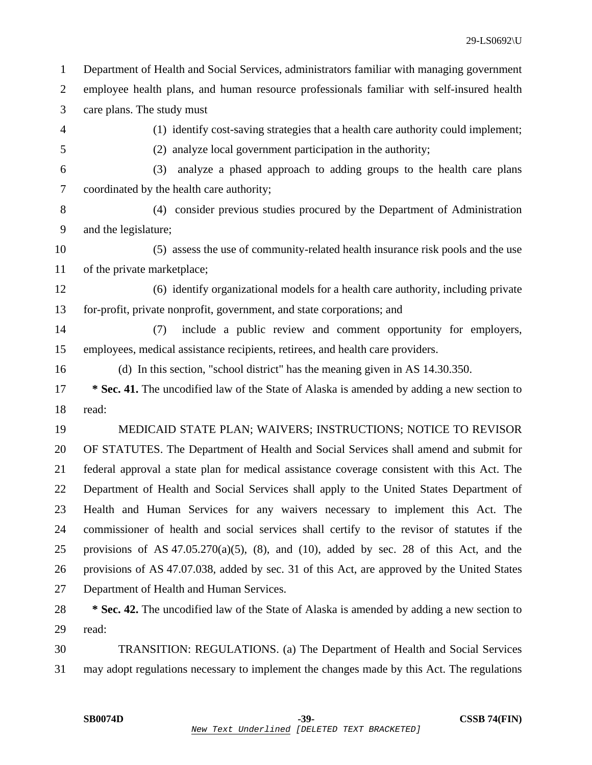29-LS0692\U 1 Department of Health and Social Services, administrators familiar with managing government 2 employee health plans, and human resource professionals familiar with self-insured health 3 care plans. The study must 4 (1) identify cost-saving strategies that a health care authority could implement; 5 (2) analyze local government participation in the authority; 6 (3) analyze a phased approach to adding groups to the health care plans 7 coordinated by the health care authority; 8 (4) consider previous studies procured by the Department of Administration 9 and the legislature; 10 (5) assess the use of community-related health insurance risk pools and the use 11 of the private marketplace; 12 (6) identify organizational models for a health care authority, including private 13 for-profit, private nonprofit, government, and state corporations; and 14 (7) include a public review and comment opportunity for employers, 15 employees, medical assistance recipients, retirees, and health care providers. 16 (d) In this section, "school district" has the meaning given in AS 14.30.350. 17 **\* Sec. 41.** The uncodified law of the State of Alaska is amended by adding a new section to 18 read: 19 MEDICAID STATE PLAN; WAIVERS; INSTRUCTIONS; NOTICE TO REVISOR 20 OF STATUTES. The Department of Health and Social Services shall amend and submit for 21 federal approval a state plan for medical assistance coverage consistent with this Act. The 22 Department of Health and Social Services shall apply to the United States Department of 23 Health and Human Services for any waivers necessary to implement this Act. The 24 commissioner of health and social services shall certify to the revisor of statutes if the 25 provisions of AS  $47.05.270(a)(5)$ ,  $(8)$ , and  $(10)$ , added by sec. 28 of this Act, and the 26 provisions of AS 47.07.038, added by sec. 31 of this Act, are approved by the United States

27 Department of Health and Human Services.

28 **\* Sec. 42.** The uncodified law of the State of Alaska is amended by adding a new section to 29 read:

30 TRANSITION: REGULATIONS. (a) The Department of Health and Social Services 31 may adopt regulations necessary to implement the changes made by this Act. The regulations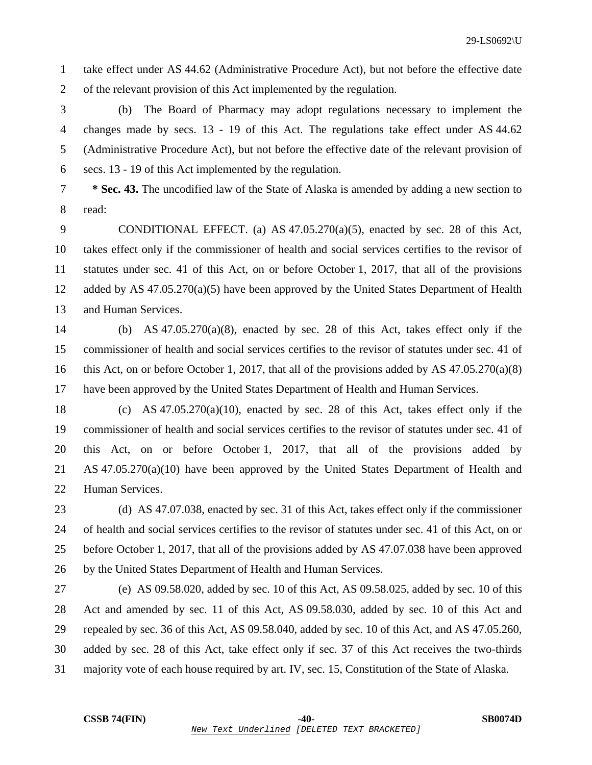1 take effect under AS 44.62 (Administrative Procedure Act), but not before the effective date 2 of the relevant provision of this Act implemented by the regulation.

3 (b) The Board of Pharmacy may adopt regulations necessary to implement the 4 changes made by secs. 13 - 19 of this Act. The regulations take effect under AS 44.62 5 (Administrative Procedure Act), but not before the effective date of the relevant provision of 6 secs. 13 - 19 of this Act implemented by the regulation.

7 **\* Sec. 43.** The uncodified law of the State of Alaska is amended by adding a new section to 8 read:

9 CONDITIONAL EFFECT. (a) AS 47.05.270(a)(5), enacted by sec. 28 of this Act, 10 takes effect only if the commissioner of health and social services certifies to the revisor of 11 statutes under sec. 41 of this Act, on or before October 1, 2017, that all of the provisions 12 added by AS 47.05.270(a)(5) have been approved by the United States Department of Health 13 and Human Services.

- 14 (b) AS 47.05.270(a)(8), enacted by sec. 28 of this Act, takes effect only if the 15 commissioner of health and social services certifies to the revisor of statutes under sec. 41 of 16 this Act, on or before October 1, 2017, that all of the provisions added by AS 47.05.270(a)(8) 17 have been approved by the United States Department of Health and Human Services.
- 18 (c) AS 47.05.270(a)(10), enacted by sec. 28 of this Act, takes effect only if the 19 commissioner of health and social services certifies to the revisor of statutes under sec. 41 of 20 this Act, on or before October 1, 2017, that all of the provisions added by 21 AS 47.05.270(a)(10) have been approved by the United States Department of Health and 22 Human Services.

23 (d) AS 47.07.038, enacted by sec. 31 of this Act, takes effect only if the commissioner 24 of health and social services certifies to the revisor of statutes under sec. 41 of this Act, on or 25 before October 1, 2017, that all of the provisions added by AS 47.07.038 have been approved 26 by the United States Department of Health and Human Services.

27 (e) AS 09.58.020, added by sec. 10 of this Act, AS 09.58.025, added by sec. 10 of this 28 Act and amended by sec. 11 of this Act, AS 09.58.030, added by sec. 10 of this Act and 29 repealed by sec. 36 of this Act, AS 09.58.040, added by sec. 10 of this Act, and AS 47.05.260, 30 added by sec. 28 of this Act, take effect only if sec. 37 of this Act receives the two-thirds 31 majority vote of each house required by art. IV, sec. 15, Constitution of the State of Alaska.